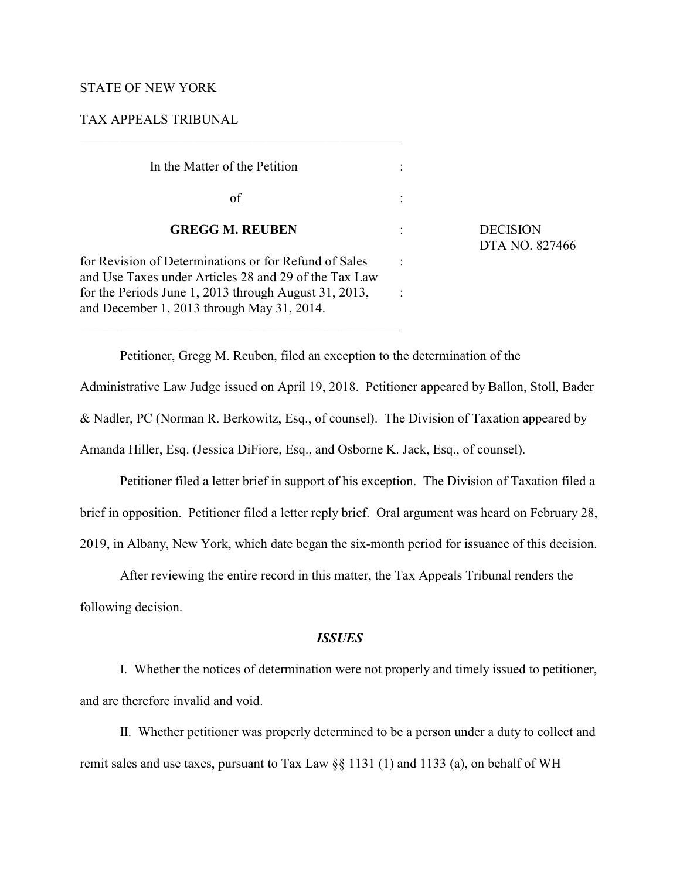# STATE OF NEW YORK

## TAX APPEALS TRIBUNAL

| In the Matter of the Petition                                                                                  |  |  |  |
|----------------------------------------------------------------------------------------------------------------|--|--|--|
| of                                                                                                             |  |  |  |
| <b>GREGG M. REUBEN</b>                                                                                         |  |  |  |
| for Revision of Determinations or for Refund of Sales<br>and Use Taxes under Articles 28 and 29 of the Tax Law |  |  |  |
| for the Periods June 1, 2013 through August 31, 2013,<br>and December 1, 2013 through May 31, 2014.            |  |  |  |

\_\_\_\_\_\_\_\_\_\_\_\_\_\_\_\_\_\_\_\_\_\_\_\_\_\_\_\_\_\_\_\_\_\_\_\_\_\_\_\_\_\_\_\_\_\_\_\_

**DECISION** DTA NO. 827466

Petitioner, Gregg M. Reuben, filed an exception to the determination of the

Administrative Law Judge issued on April 19, 2018. Petitioner appeared by Ballon, Stoll, Bader & Nadler, PC (Norman R. Berkowitz, Esq., of counsel). The Division of Taxation appeared by Amanda Hiller, Esq. (Jessica DiFiore, Esq., and Osborne K. Jack, Esq., of counsel).

Petitioner filed a letter brief in support of his exception. The Division of Taxation filed a brief in opposition. Petitioner filed a letter reply brief. Oral argument was heard on February 28, 2019, in Albany, New York, which date began the six-month period for issuance of this decision.

After reviewing the entire record in this matter, the Tax Appeals Tribunal renders the

following decision.

# *ISSUES*

I. Whether the notices of determination were not properly and timely issued to petitioner, and are therefore invalid and void.

II. Whether petitioner was properly determined to be a person under a duty to collect and remit sales and use taxes, pursuant to Tax Law §§ 1131 (1) and 1133 (a), on behalf of WH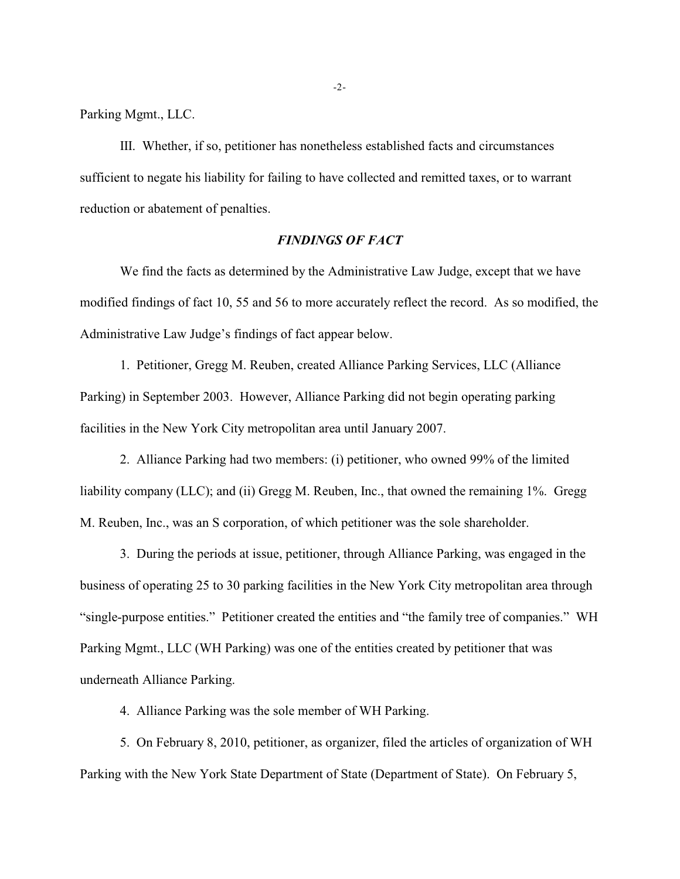Parking Mgmt., LLC.

III. Whether, if so, petitioner has nonetheless established facts and circumstances sufficient to negate his liability for failing to have collected and remitted taxes, or to warrant reduction or abatement of penalties.

# *FINDINGS OF FACT*

We find the facts as determined by the Administrative Law Judge, except that we have modified findings of fact 10, 55 and 56 to more accurately reflect the record. As so modified, the Administrative Law Judge's findings of fact appear below.

1. Petitioner, Gregg M. Reuben, created Alliance Parking Services, LLC (Alliance Parking) in September 2003. However, Alliance Parking did not begin operating parking facilities in the New York City metropolitan area until January 2007.

2. Alliance Parking had two members: (i) petitioner, who owned 99% of the limited liability company (LLC); and (ii) Gregg M. Reuben, Inc., that owned the remaining 1%. Gregg M. Reuben, Inc., was an S corporation, of which petitioner was the sole shareholder.

3. During the periods at issue, petitioner, through Alliance Parking, was engaged in the business of operating 25 to 30 parking facilities in the New York City metropolitan area through "single-purpose entities." Petitioner created the entities and "the family tree of companies." WH Parking Mgmt., LLC (WH Parking) was one of the entities created by petitioner that was underneath Alliance Parking.

4. Alliance Parking was the sole member of WH Parking.

5. On February 8, 2010, petitioner, as organizer, filed the articles of organization of WH Parking with the New York State Department of State (Department of State). On February 5,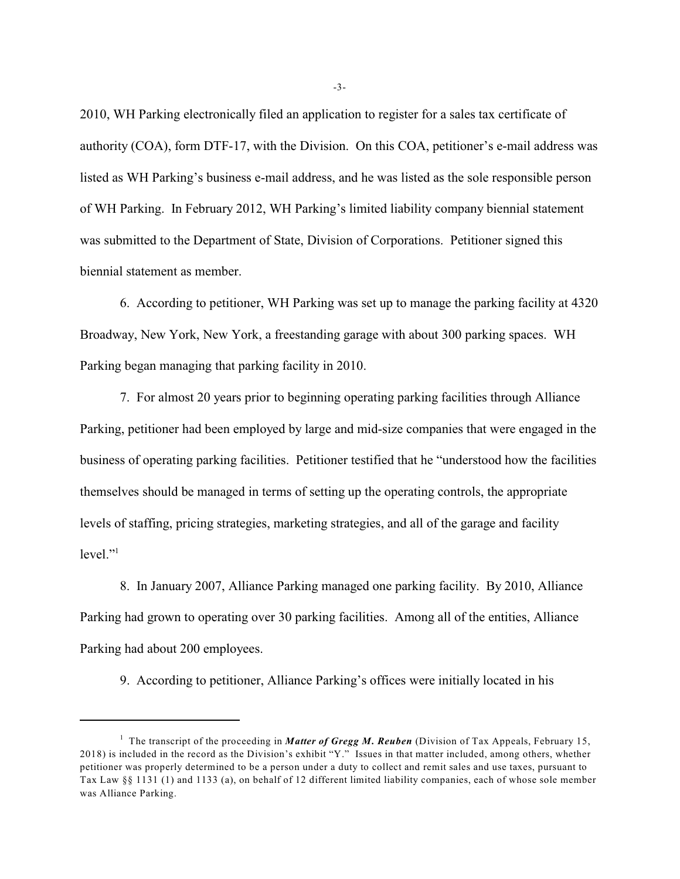2010, WH Parking electronically filed an application to register for a sales tax certificate of authority (COA), form DTF-17, with the Division. On this COA, petitioner's e-mail address was listed as WH Parking's business e-mail address, and he was listed as the sole responsible person of WH Parking. In February 2012, WH Parking's limited liability company biennial statement was submitted to the Department of State, Division of Corporations. Petitioner signed this biennial statement as member.

6. According to petitioner, WH Parking was set up to manage the parking facility at 4320 Broadway, New York, New York, a freestanding garage with about 300 parking spaces. WH Parking began managing that parking facility in 2010.

7. For almost 20 years prior to beginning operating parking facilities through Alliance Parking, petitioner had been employed by large and mid-size companies that were engaged in the business of operating parking facilities. Petitioner testified that he "understood how the facilities themselves should be managed in terms of setting up the operating controls, the appropriate levels of staffing, pricing strategies, marketing strategies, and all of the garage and facility  $level$ ."<sup>1</sup>

8. In January 2007, Alliance Parking managed one parking facility. By 2010, Alliance Parking had grown to operating over 30 parking facilities. Among all of the entities, Alliance Parking had about 200 employees.

9. According to petitioner, Alliance Parking's offices were initially located in his

-3-

<sup>&</sup>lt;sup>1</sup> The transcript of the proceeding in *Matter of Gregg M. Reuben* (Division of Tax Appeals, February 15, 2018) is included in the record as the Division's exhibit "Y." Issues in that matter included, among others, whether petitioner was properly determined to be a person under a duty to collect and remit sales and use taxes, pursuant to Tax Law §§ 1131 (1) and 1133 (a), on behalf of 12 different limited liability companies, each of whose sole member was Alliance Parking.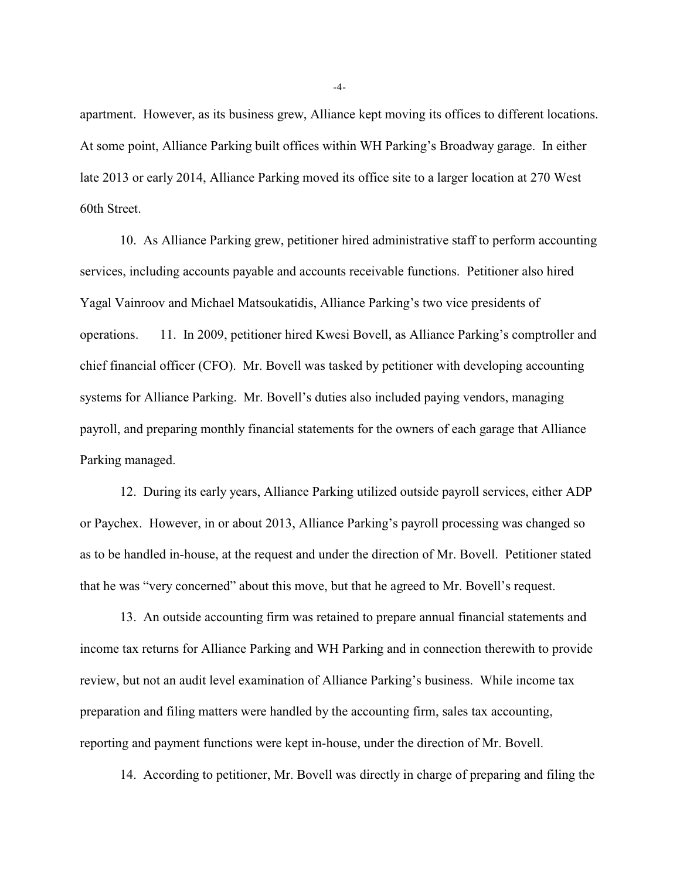apartment. However, as its business grew, Alliance kept moving its offices to different locations. At some point, Alliance Parking built offices within WH Parking's Broadway garage. In either late 2013 or early 2014, Alliance Parking moved its office site to a larger location at 270 West 60th Street.

10. As Alliance Parking grew, petitioner hired administrative staff to perform accounting services, including accounts payable and accounts receivable functions. Petitioner also hired Yagal Vainroov and Michael Matsoukatidis, Alliance Parking's two vice presidents of operations. 11. In 2009, petitioner hired Kwesi Bovell, as Alliance Parking's comptroller and chief financial officer (CFO). Mr. Bovell was tasked by petitioner with developing accounting systems for Alliance Parking. Mr. Bovell's duties also included paying vendors, managing payroll, and preparing monthly financial statements for the owners of each garage that Alliance Parking managed.

12. During its early years, Alliance Parking utilized outside payroll services, either ADP or Paychex. However, in or about 2013, Alliance Parking's payroll processing was changed so as to be handled in-house, at the request and under the direction of Mr. Bovell. Petitioner stated that he was "very concerned" about this move, but that he agreed to Mr. Bovell's request.

13. An outside accounting firm was retained to prepare annual financial statements and income tax returns for Alliance Parking and WH Parking and in connection therewith to provide review, but not an audit level examination of Alliance Parking's business. While income tax preparation and filing matters were handled by the accounting firm, sales tax accounting, reporting and payment functions were kept in-house, under the direction of Mr. Bovell.

14. According to petitioner, Mr. Bovell was directly in charge of preparing and filing the

-4-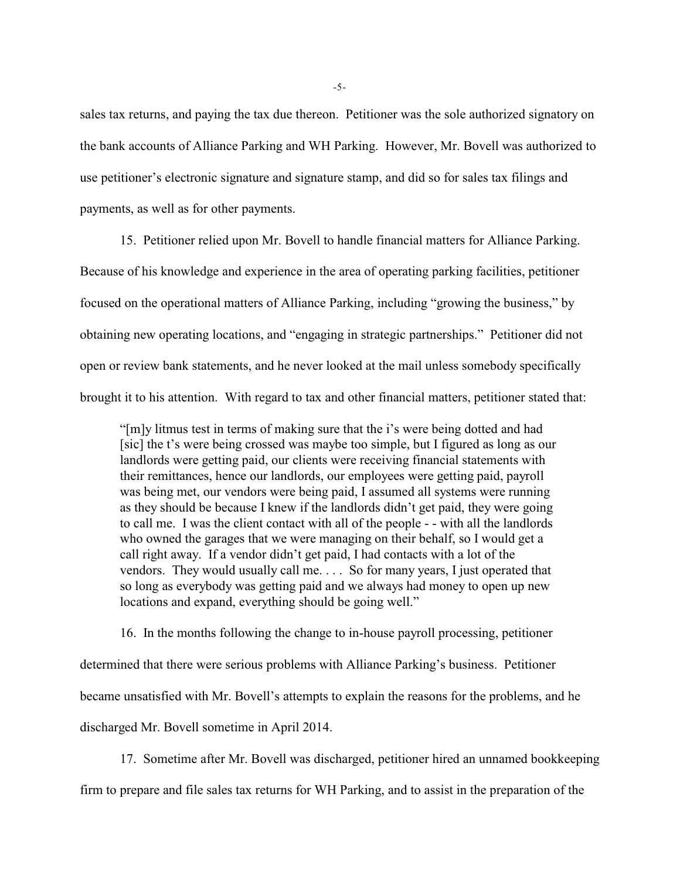sales tax returns, and paying the tax due thereon. Petitioner was the sole authorized signatory on the bank accounts of Alliance Parking and WH Parking. However, Mr. Bovell was authorized to use petitioner's electronic signature and signature stamp, and did so for sales tax filings and payments, as well as for other payments.

15. Petitioner relied upon Mr. Bovell to handle financial matters for Alliance Parking. Because of his knowledge and experience in the area of operating parking facilities, petitioner focused on the operational matters of Alliance Parking, including "growing the business," by obtaining new operating locations, and "engaging in strategic partnerships." Petitioner did not open or review bank statements, and he never looked at the mail unless somebody specifically brought it to his attention. With regard to tax and other financial matters, petitioner stated that:

"[m]y litmus test in terms of making sure that the i's were being dotted and had [sic] the t's were being crossed was maybe too simple, but I figured as long as our landlords were getting paid, our clients were receiving financial statements with their remittances, hence our landlords, our employees were getting paid, payroll was being met, our vendors were being paid, I assumed all systems were running as they should be because I knew if the landlords didn't get paid, they were going to call me. I was the client contact with all of the people - - with all the landlords who owned the garages that we were managing on their behalf, so I would get a call right away. If a vendor didn't get paid, I had contacts with a lot of the vendors. They would usually call me. . . . So for many years, I just operated that so long as everybody was getting paid and we always had money to open up new locations and expand, everything should be going well."

16. In the months following the change to in-house payroll processing, petitioner determined that there were serious problems with Alliance Parking's business. Petitioner became unsatisfied with Mr. Bovell's attempts to explain the reasons for the problems, and he discharged Mr. Bovell sometime in April 2014.

17. Sometime after Mr. Bovell was discharged, petitioner hired an unnamed bookkeeping

firm to prepare and file sales tax returns for WH Parking, and to assist in the preparation of the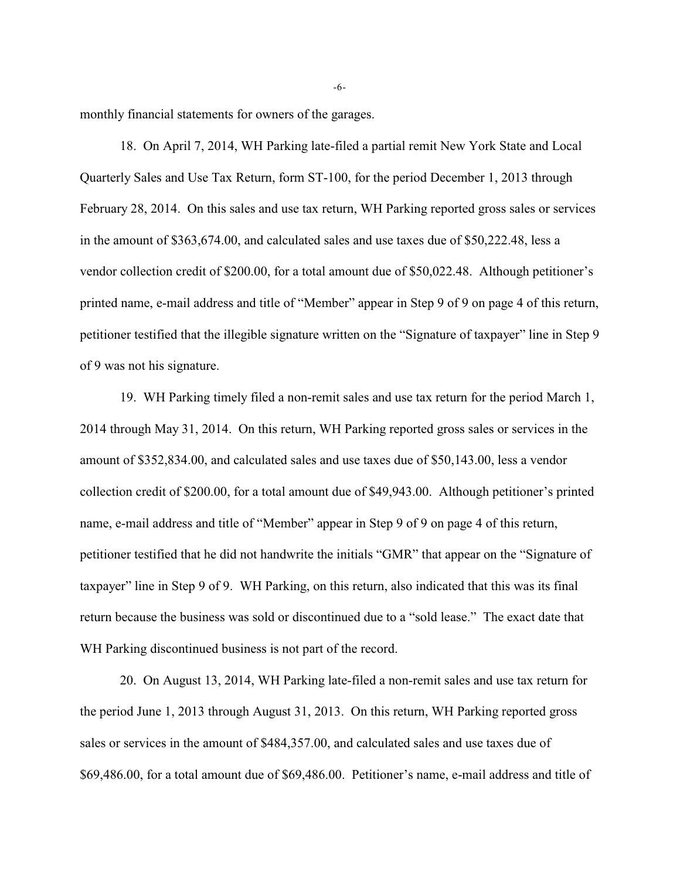monthly financial statements for owners of the garages.

18. On April 7, 2014, WH Parking late-filed a partial remit New York State and Local Quarterly Sales and Use Tax Return, form ST-100, for the period December 1, 2013 through February 28, 2014. On this sales and use tax return, WH Parking reported gross sales or services in the amount of \$363,674.00, and calculated sales and use taxes due of \$50,222.48, less a vendor collection credit of \$200.00, for a total amount due of \$50,022.48. Although petitioner's printed name, e-mail address and title of "Member" appear in Step 9 of 9 on page 4 of this return, petitioner testified that the illegible signature written on the "Signature of taxpayer" line in Step 9 of 9 was not his signature.

19. WH Parking timely filed a non-remit sales and use tax return for the period March 1, 2014 through May 31, 2014. On this return, WH Parking reported gross sales or services in the amount of \$352,834.00, and calculated sales and use taxes due of \$50,143.00, less a vendor collection credit of \$200.00, for a total amount due of \$49,943.00. Although petitioner's printed name, e-mail address and title of "Member" appear in Step 9 of 9 on page 4 of this return, petitioner testified that he did not handwrite the initials "GMR" that appear on the "Signature of taxpayer" line in Step 9 of 9. WH Parking, on this return, also indicated that this was its final return because the business was sold or discontinued due to a "sold lease." The exact date that WH Parking discontinued business is not part of the record.

20. On August 13, 2014, WH Parking late-filed a non-remit sales and use tax return for the period June 1, 2013 through August 31, 2013. On this return, WH Parking reported gross sales or services in the amount of \$484,357.00, and calculated sales and use taxes due of \$69,486.00, for a total amount due of \$69,486.00. Petitioner's name, e-mail address and title of

-6-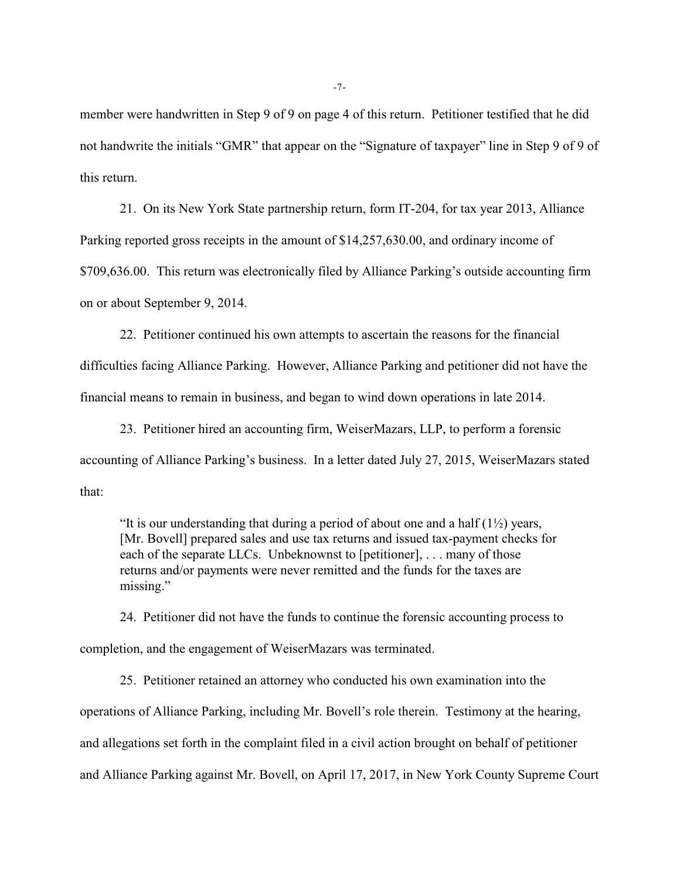member were handwritten in Step 9 of 9 on page 4 of this return. Petitioner testified that he did not handwrite the initials "GMR" that appear on the "Signature of taxpayer" line in Step 9 of 9 of this return.

21. On its New York State partnership return, form IT-204, for tax year 2013, Alliance Parking reported gross receipts in the amount of \$14,257,630.00, and ordinary income of \$709,636.00. This return was electronically filed by Alliance Parking's outside accounting firm on or about September 9, 2014.

22. Petitioner continued his own attempts to ascertain the reasons for the financial difficulties facing Alliance Parking. However, Alliance Parking and petitioner did not have the financial means to remain in business, and began to wind down operations in late 2014.

23. Petitioner hired an accounting firm, WeiserMazars, LLP, to perform a forensic accounting of Alliance Parking's business. In a letter dated July 27, 2015, WeiserMazars stated that:

"It is our understanding that during a period of about one and a half  $(1/2)$  years, [Mr. Bovell] prepared sales and use tax returns and issued tax-payment checks for each of the separate LLCs. Unbeknownst to [petitioner], . . . many of those returns and/or payments were never remitted and the funds for the taxes are missing."

24. Petitioner did not have the funds to continue the forensic accounting process to completion, and the engagement of WeiserMazars was terminated.

25. Petitioner retained an attorney who conducted his own examination into the operations of Alliance Parking, including Mr. Bovell's role therein. Testimony at the hearing, and allegations set forth in the complaint filed in a civil action brought on behalf of petitioner and Alliance Parking against Mr. Bovell, on April 17, 2017, in New York County Supreme Court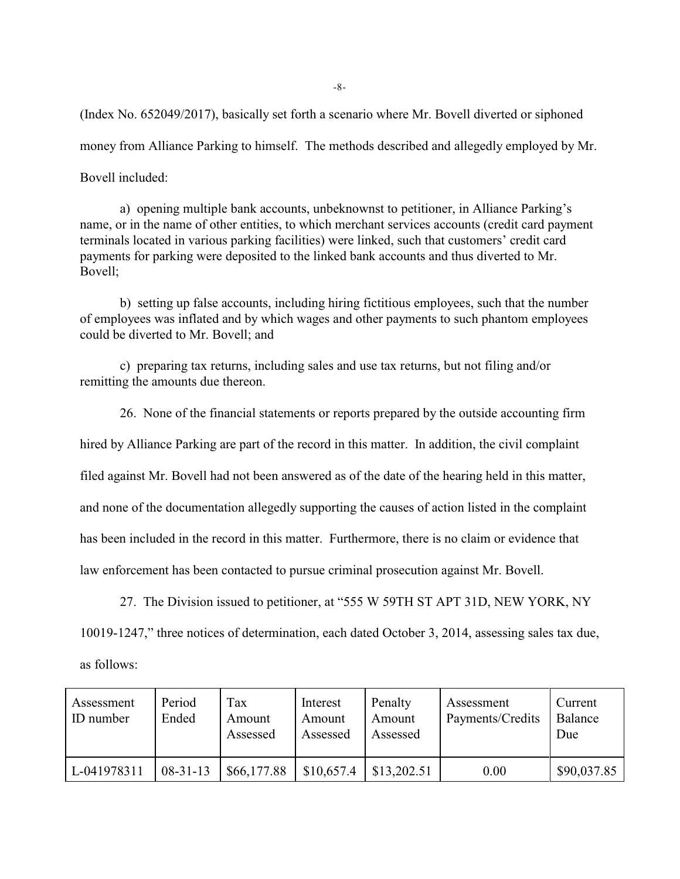(Index No. 652049/2017), basically set forth a scenario where Mr. Bovell diverted or siphoned money from Alliance Parking to himself. The methods described and allegedly employed by Mr. Bovell included:

a) opening multiple bank accounts, unbeknownst to petitioner, in Alliance Parking's name, or in the name of other entities, to which merchant services accounts (credit card payment terminals located in various parking facilities) were linked, such that customers' credit card payments for parking were deposited to the linked bank accounts and thus diverted to Mr. Bovell;

b) setting up false accounts, including hiring fictitious employees, such that the number of employees was inflated and by which wages and other payments to such phantom employees could be diverted to Mr. Bovell; and

c) preparing tax returns, including sales and use tax returns, but not filing and/or remitting the amounts due thereon.

26. None of the financial statements or reports prepared by the outside accounting firm hired by Alliance Parking are part of the record in this matter. In addition, the civil complaint filed against Mr. Bovell had not been answered as of the date of the hearing held in this matter, and none of the documentation allegedly supporting the causes of action listed in the complaint has been included in the record in this matter. Furthermore, there is no claim or evidence that law enforcement has been contacted to pursue criminal prosecution against Mr. Bovell.

27. The Division issued to petitioner, at "555 W 59TH ST APT 31D, NEW YORK, NY

10019-1247," three notices of determination, each dated October 3, 2014, assessing sales tax due,

as follows:

| Assessment<br>ID number | Period<br>Ended | Tax<br>Amount<br>Assessed | Interest<br>Amount<br>Assessed | Penalty<br>Amount<br>Assessed | Assessment<br>Payments/Credits | Current<br>Balance<br>Due |
|-------------------------|-----------------|---------------------------|--------------------------------|-------------------------------|--------------------------------|---------------------------|
| L-041978311             | $08-31-13$      | \$66,177.88               | \$10,657.4                     | \$13,202.51                   | 0.00                           | \$90,037.85               |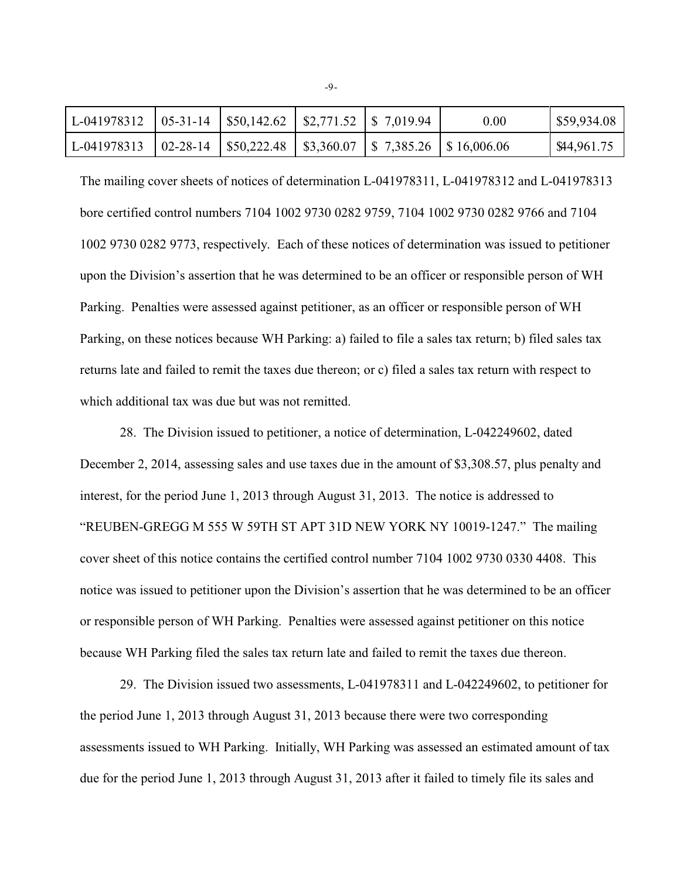| L-041978312   05-31-14   \$50,142.62   \$2,771.52   \$7,019.94                |  |  | 0.00 | \$59,934.08 |
|-------------------------------------------------------------------------------|--|--|------|-------------|
| L-041978313   02-28-14   \$50,222.48   \$3,360.07   \$ 7,385.26   \$16,006.06 |  |  |      | \$44,961.75 |

The mailing cover sheets of notices of determination L-041978311, L-041978312 and L-041978313 bore certified control numbers 7104 1002 9730 0282 9759, 7104 1002 9730 0282 9766 and 7104 1002 9730 0282 9773, respectively. Each of these notices of determination was issued to petitioner upon the Division's assertion that he was determined to be an officer or responsible person of WH Parking. Penalties were assessed against petitioner, as an officer or responsible person of WH Parking, on these notices because WH Parking: a) failed to file a sales tax return; b) filed sales tax returns late and failed to remit the taxes due thereon; or c) filed a sales tax return with respect to which additional tax was due but was not remitted.

28. The Division issued to petitioner, a notice of determination, L-042249602, dated December 2, 2014, assessing sales and use taxes due in the amount of \$3,308.57, plus penalty and interest, for the period June 1, 2013 through August 31, 2013. The notice is addressed to "REUBEN-GREGG M 555 W 59TH ST APT 31D NEW YORK NY 10019-1247." The mailing cover sheet of this notice contains the certified control number 7104 1002 9730 0330 4408. This notice was issued to petitioner upon the Division's assertion that he was determined to be an officer or responsible person of WH Parking. Penalties were assessed against petitioner on this notice because WH Parking filed the sales tax return late and failed to remit the taxes due thereon.

29. The Division issued two assessments, L-041978311 and L-042249602, to petitioner for the period June 1, 2013 through August 31, 2013 because there were two corresponding assessments issued to WH Parking. Initially, WH Parking was assessed an estimated amount of tax due for the period June 1, 2013 through August 31, 2013 after it failed to timely file its sales and

-9-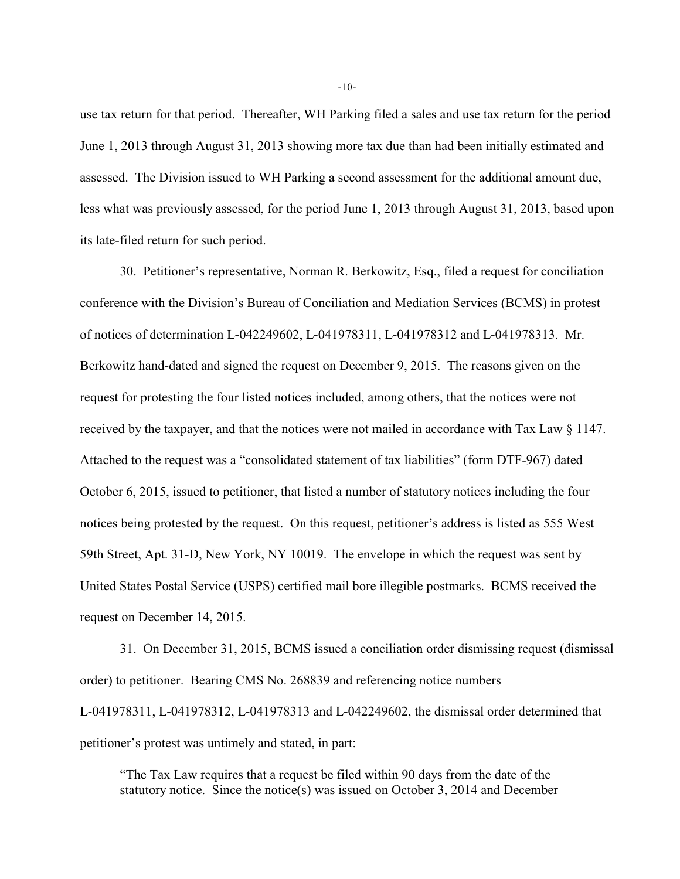use tax return for that period. Thereafter, WH Parking filed a sales and use tax return for the period June 1, 2013 through August 31, 2013 showing more tax due than had been initially estimated and assessed. The Division issued to WH Parking a second assessment for the additional amount due, less what was previously assessed, for the period June 1, 2013 through August 31, 2013, based upon its late-filed return for such period.

30. Petitioner's representative, Norman R. Berkowitz, Esq., filed a request for conciliation conference with the Division's Bureau of Conciliation and Mediation Services (BCMS) in protest of notices of determination L-042249602, L-041978311, L-041978312 and L-041978313. Mr. Berkowitz hand-dated and signed the request on December 9, 2015. The reasons given on the request for protesting the four listed notices included, among others, that the notices were not received by the taxpayer, and that the notices were not mailed in accordance with Tax Law § 1147. Attached to the request was a "consolidated statement of tax liabilities" (form DTF-967) dated October 6, 2015, issued to petitioner, that listed a number of statutory notices including the four notices being protested by the request. On this request, petitioner's address is listed as 555 West 59th Street, Apt. 31-D, New York, NY 10019. The envelope in which the request was sent by United States Postal Service (USPS) certified mail bore illegible postmarks. BCMS received the request on December 14, 2015.

31. On December 31, 2015, BCMS issued a conciliation order dismissing request (dismissal order) to petitioner. Bearing CMS No. 268839 and referencing notice numbers L-041978311, L-041978312, L-041978313 and L-042249602, the dismissal order determined that petitioner's protest was untimely and stated, in part:

"The Tax Law requires that a request be filed within 90 days from the date of the statutory notice. Since the notice(s) was issued on October 3, 2014 and December

-10-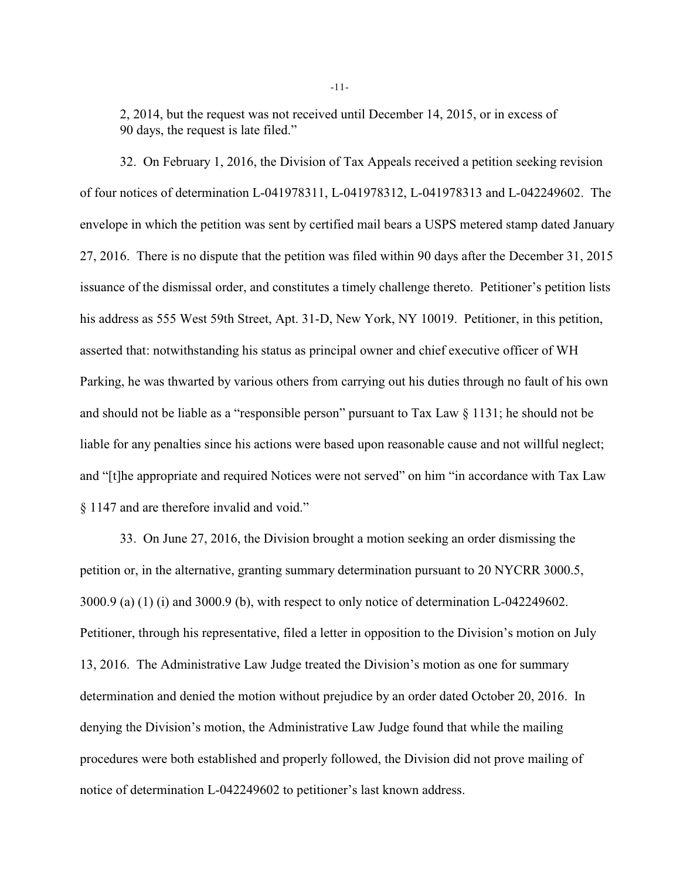2, 2014, but the request was not received until December 14, 2015, or in excess of 90 days, the request is late filed."

32. On February 1, 2016, the Division of Tax Appeals received a petition seeking revision of four notices of determination L-041978311, L-041978312, L-041978313 and L-042249602. The envelope in which the petition was sent by certified mail bears a USPS metered stamp dated January 27, 2016. There is no dispute that the petition was filed within 90 days after the December 31, 2015 issuance of the dismissal order, and constitutes a timely challenge thereto. Petitioner's petition lists his address as 555 West 59th Street, Apt. 31-D, New York, NY 10019. Petitioner, in this petition, asserted that: notwithstanding his status as principal owner and chief executive officer of WH Parking, he was thwarted by various others from carrying out his duties through no fault of his own and should not be liable as a "responsible person" pursuant to Tax Law § 1131; he should not be liable for any penalties since his actions were based upon reasonable cause and not willful neglect; and "[t]he appropriate and required Notices were not served" on him "in accordance with Tax Law § 1147 and are therefore invalid and void."

33. On June 27, 2016, the Division brought a motion seeking an order dismissing the petition or, in the alternative, granting summary determination pursuant to 20 NYCRR 3000.5, 3000.9 (a) (1) (i) and 3000.9 (b), with respect to only notice of determination L-042249602. Petitioner, through his representative, filed a letter in opposition to the Division's motion on July 13, 2016. The Administrative Law Judge treated the Division's motion as one for summary determination and denied the motion without prejudice by an order dated October 20, 2016. In denying the Division's motion, the Administrative Law Judge found that while the mailing procedures were both established and properly followed, the Division did not prove mailing of notice of determination L-042249602 to petitioner's last known address.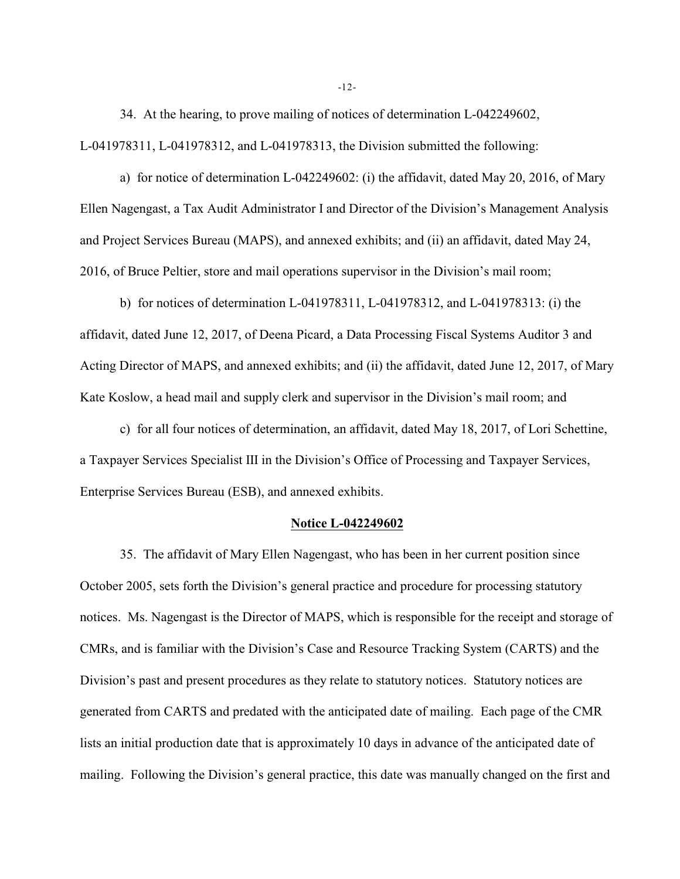34. At the hearing, to prove mailing of notices of determination L-042249602, L-041978311, L-041978312, and L-041978313, the Division submitted the following:

a) for notice of determination L-042249602: (i) the affidavit, dated May 20, 2016, of Mary Ellen Nagengast, a Tax Audit Administrator I and Director of the Division's Management Analysis and Project Services Bureau (MAPS), and annexed exhibits; and (ii) an affidavit, dated May 24, 2016, of Bruce Peltier, store and mail operations supervisor in the Division's mail room;

b) for notices of determination L-041978311, L-041978312, and L-041978313: (i) the affidavit, dated June 12, 2017, of Deena Picard, a Data Processing Fiscal Systems Auditor 3 and Acting Director of MAPS, and annexed exhibits; and (ii) the affidavit, dated June 12, 2017, of Mary Kate Koslow, a head mail and supply clerk and supervisor in the Division's mail room; and

c) for all four notices of determination, an affidavit, dated May 18, 2017, of Lori Schettine, a Taxpayer Services Specialist III in the Division's Office of Processing and Taxpayer Services, Enterprise Services Bureau (ESB), and annexed exhibits.

#### **Notice L-042249602**

35. The affidavit of Mary Ellen Nagengast, who has been in her current position since October 2005, sets forth the Division's general practice and procedure for processing statutory notices. Ms. Nagengast is the Director of MAPS, which is responsible for the receipt and storage of CMRs, and is familiar with the Division's Case and Resource Tracking System (CARTS) and the Division's past and present procedures as they relate to statutory notices. Statutory notices are generated from CARTS and predated with the anticipated date of mailing. Each page of the CMR lists an initial production date that is approximately 10 days in advance of the anticipated date of mailing. Following the Division's general practice, this date was manually changed on the first and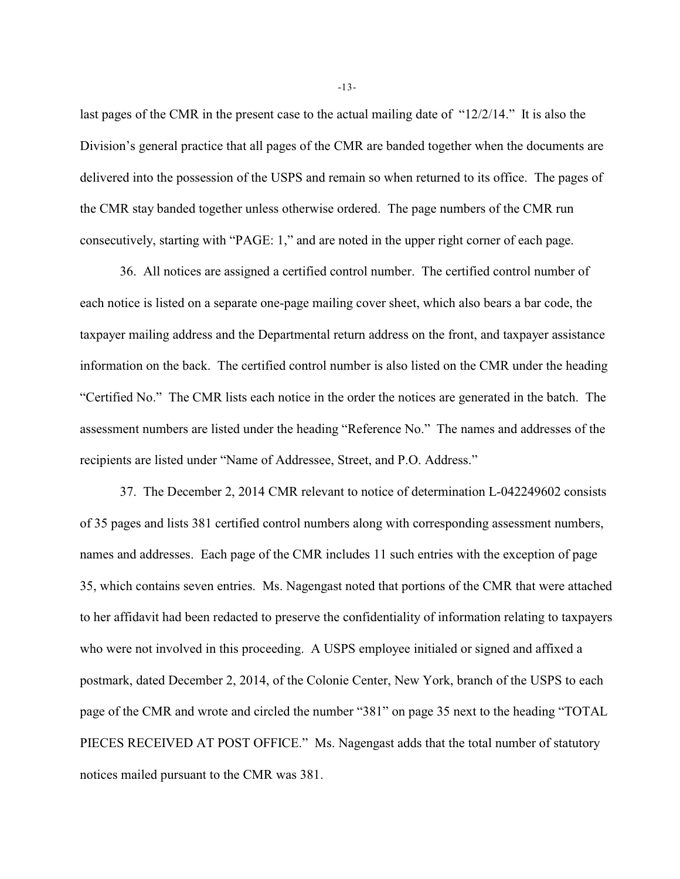last pages of the CMR in the present case to the actual mailing date of "12/2/14." It is also the Division's general practice that all pages of the CMR are banded together when the documents are delivered into the possession of the USPS and remain so when returned to its office. The pages of the CMR stay banded together unless otherwise ordered. The page numbers of the CMR run consecutively, starting with "PAGE: 1," and are noted in the upper right corner of each page.

36. All notices are assigned a certified control number. The certified control number of each notice is listed on a separate one-page mailing cover sheet, which also bears a bar code, the taxpayer mailing address and the Departmental return address on the front, and taxpayer assistance information on the back. The certified control number is also listed on the CMR under the heading "Certified No." The CMR lists each notice in the order the notices are generated in the batch. The assessment numbers are listed under the heading "Reference No." The names and addresses of the recipients are listed under "Name of Addressee, Street, and P.O. Address."

37. The December 2, 2014 CMR relevant to notice of determination L-042249602 consists of 35 pages and lists 381 certified control numbers along with corresponding assessment numbers, names and addresses. Each page of the CMR includes 11 such entries with the exception of page 35, which contains seven entries. Ms. Nagengast noted that portions of the CMR that were attached to her affidavit had been redacted to preserve the confidentiality of information relating to taxpayers who were not involved in this proceeding. A USPS employee initialed or signed and affixed a postmark, dated December 2, 2014, of the Colonie Center, New York, branch of the USPS to each page of the CMR and wrote and circled the number "381" on page 35 next to the heading "TOTAL PIECES RECEIVED AT POST OFFICE." Ms. Nagengast adds that the total number of statutory notices mailed pursuant to the CMR was 381.

-13-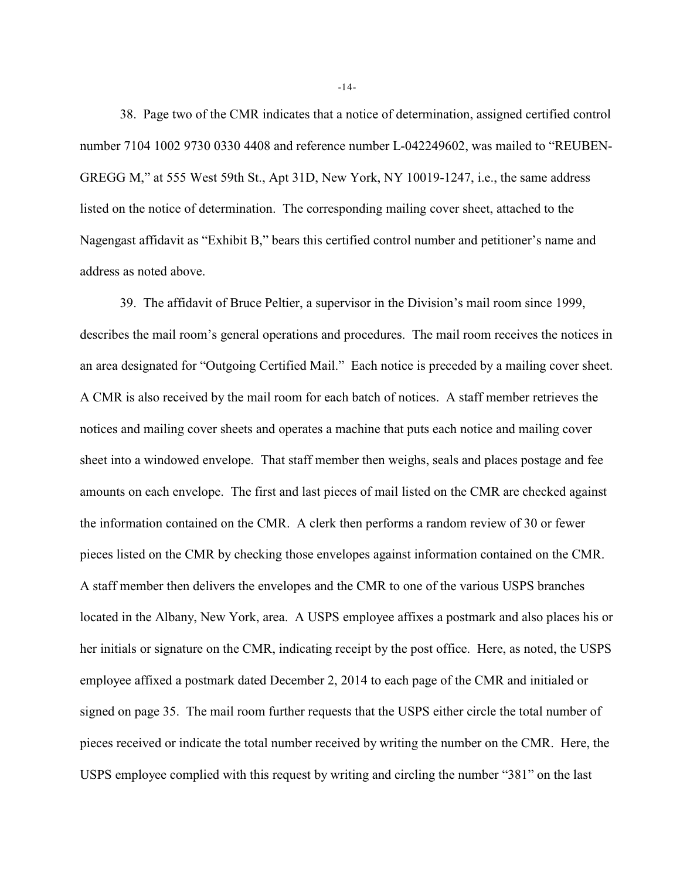38. Page two of the CMR indicates that a notice of determination, assigned certified control number 7104 1002 9730 0330 4408 and reference number L-042249602, was mailed to "REUBEN-GREGG M," at 555 West 59th St., Apt 31D, New York, NY 10019-1247, i.e., the same address listed on the notice of determination. The corresponding mailing cover sheet, attached to the Nagengast affidavit as "Exhibit B," bears this certified control number and petitioner's name and address as noted above.

39. The affidavit of Bruce Peltier, a supervisor in the Division's mail room since 1999, describes the mail room's general operations and procedures. The mail room receives the notices in an area designated for "Outgoing Certified Mail." Each notice is preceded by a mailing cover sheet. A CMR is also received by the mail room for each batch of notices. A staff member retrieves the notices and mailing cover sheets and operates a machine that puts each notice and mailing cover sheet into a windowed envelope. That staff member then weighs, seals and places postage and fee amounts on each envelope. The first and last pieces of mail listed on the CMR are checked against the information contained on the CMR. A clerk then performs a random review of 30 or fewer pieces listed on the CMR by checking those envelopes against information contained on the CMR. A staff member then delivers the envelopes and the CMR to one of the various USPS branches located in the Albany, New York, area. A USPS employee affixes a postmark and also places his or her initials or signature on the CMR, indicating receipt by the post office. Here, as noted, the USPS employee affixed a postmark dated December 2, 2014 to each page of the CMR and initialed or signed on page 35. The mail room further requests that the USPS either circle the total number of pieces received or indicate the total number received by writing the number on the CMR. Here, the USPS employee complied with this request by writing and circling the number "381" on the last

-14-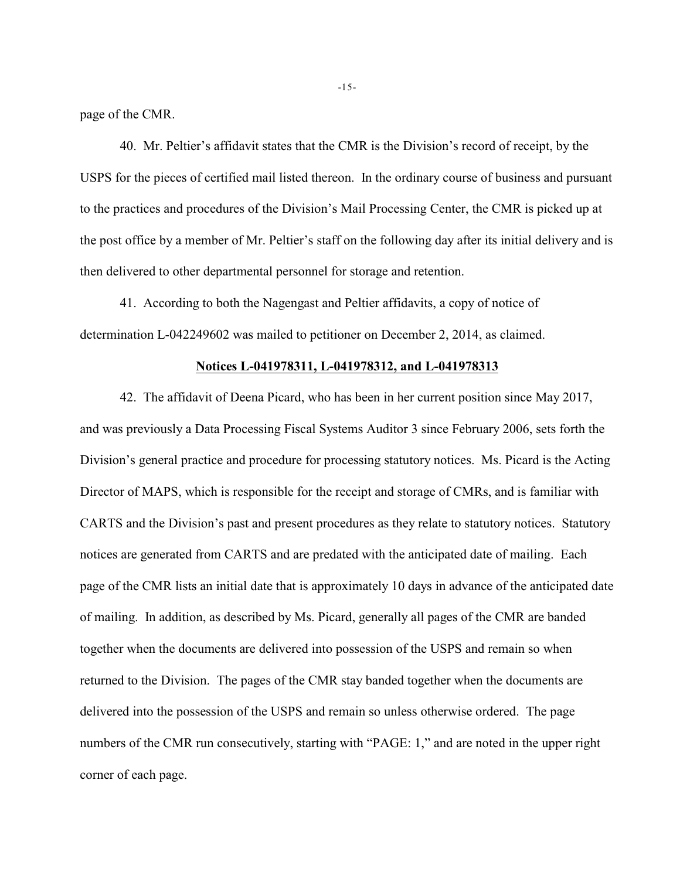page of the CMR.

40. Mr. Peltier's affidavit states that the CMR is the Division's record of receipt, by the USPS for the pieces of certified mail listed thereon. In the ordinary course of business and pursuant to the practices and procedures of the Division's Mail Processing Center, the CMR is picked up at the post office by a member of Mr. Peltier's staff on the following day after its initial delivery and is then delivered to other departmental personnel for storage and retention.

41. According to both the Nagengast and Peltier affidavits, a copy of notice of determination L-042249602 was mailed to petitioner on December 2, 2014, as claimed.

### **Notices L-041978311, L-041978312, and L-041978313**

42. The affidavit of Deena Picard, who has been in her current position since May 2017, and was previously a Data Processing Fiscal Systems Auditor 3 since February 2006, sets forth the Division's general practice and procedure for processing statutory notices. Ms. Picard is the Acting Director of MAPS, which is responsible for the receipt and storage of CMRs, and is familiar with CARTS and the Division's past and present procedures as they relate to statutory notices. Statutory notices are generated from CARTS and are predated with the anticipated date of mailing. Each page of the CMR lists an initial date that is approximately 10 days in advance of the anticipated date of mailing. In addition, as described by Ms. Picard, generally all pages of the CMR are banded together when the documents are delivered into possession of the USPS and remain so when returned to the Division. The pages of the CMR stay banded together when the documents are delivered into the possession of the USPS and remain so unless otherwise ordered. The page numbers of the CMR run consecutively, starting with "PAGE: 1," and are noted in the upper right corner of each page.

-15-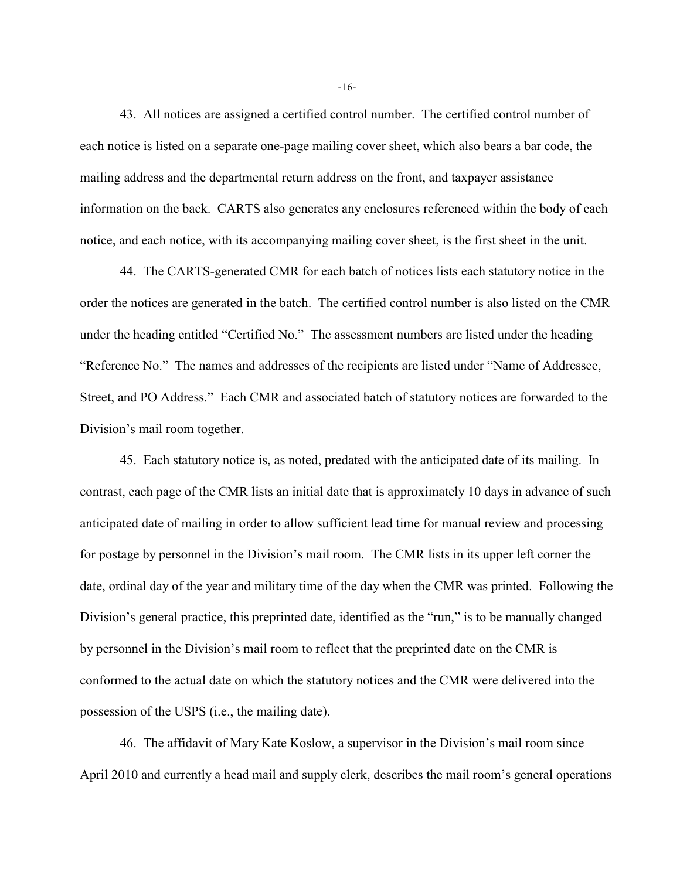43. All notices are assigned a certified control number. The certified control number of each notice is listed on a separate one-page mailing cover sheet, which also bears a bar code, the mailing address and the departmental return address on the front, and taxpayer assistance information on the back. CARTS also generates any enclosures referenced within the body of each notice, and each notice, with its accompanying mailing cover sheet, is the first sheet in the unit.

44. The CARTS-generated CMR for each batch of notices lists each statutory notice in the order the notices are generated in the batch. The certified control number is also listed on the CMR under the heading entitled "Certified No." The assessment numbers are listed under the heading "Reference No." The names and addresses of the recipients are listed under "Name of Addressee, Street, and PO Address." Each CMR and associated batch of statutory notices are forwarded to the Division's mail room together.

45. Each statutory notice is, as noted, predated with the anticipated date of its mailing. In contrast, each page of the CMR lists an initial date that is approximately 10 days in advance of such anticipated date of mailing in order to allow sufficient lead time for manual review and processing for postage by personnel in the Division's mail room. The CMR lists in its upper left corner the date, ordinal day of the year and military time of the day when the CMR was printed. Following the Division's general practice, this preprinted date, identified as the "run," is to be manually changed by personnel in the Division's mail room to reflect that the preprinted date on the CMR is conformed to the actual date on which the statutory notices and the CMR were delivered into the possession of the USPS (i.e., the mailing date).

46. The affidavit of Mary Kate Koslow, a supervisor in the Division's mail room since April 2010 and currently a head mail and supply clerk, describes the mail room's general operations

-16-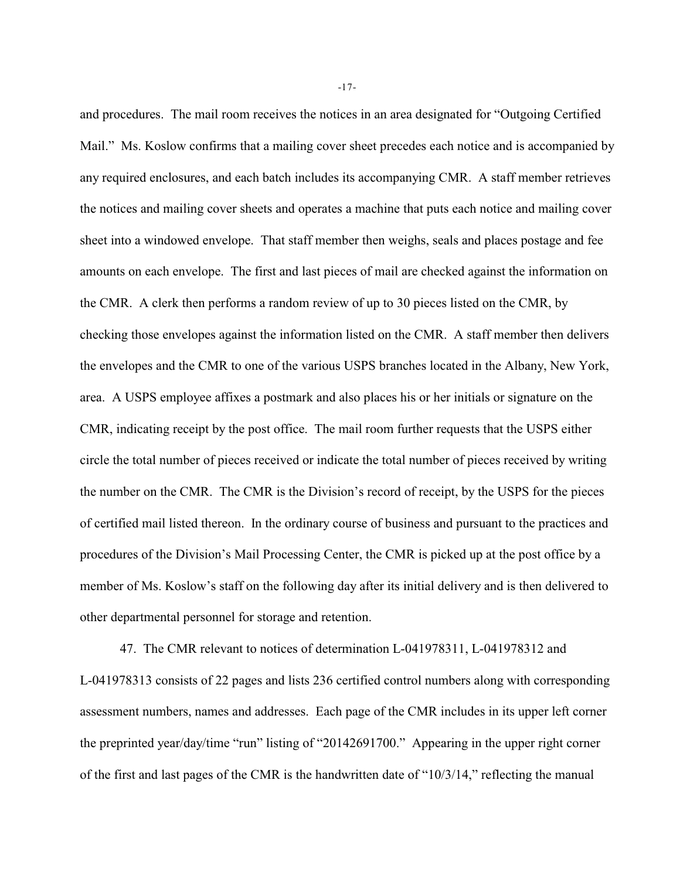and procedures. The mail room receives the notices in an area designated for "Outgoing Certified Mail." Ms. Koslow confirms that a mailing cover sheet precedes each notice and is accompanied by any required enclosures, and each batch includes its accompanying CMR. A staff member retrieves the notices and mailing cover sheets and operates a machine that puts each notice and mailing cover sheet into a windowed envelope. That staff member then weighs, seals and places postage and fee amounts on each envelope. The first and last pieces of mail are checked against the information on the CMR. A clerk then performs a random review of up to 30 pieces listed on the CMR, by checking those envelopes against the information listed on the CMR. A staff member then delivers the envelopes and the CMR to one of the various USPS branches located in the Albany, New York, area. A USPS employee affixes a postmark and also places his or her initials or signature on the CMR, indicating receipt by the post office. The mail room further requests that the USPS either circle the total number of pieces received or indicate the total number of pieces received by writing the number on the CMR. The CMR is the Division's record of receipt, by the USPS for the pieces of certified mail listed thereon. In the ordinary course of business and pursuant to the practices and procedures of the Division's Mail Processing Center, the CMR is picked up at the post office by a member of Ms. Koslow's staff on the following day after its initial delivery and is then delivered to other departmental personnel for storage and retention.

47. The CMR relevant to notices of determination L-041978311, L-041978312 and L-041978313 consists of 22 pages and lists 236 certified control numbers along with corresponding assessment numbers, names and addresses. Each page of the CMR includes in its upper left corner the preprinted year/day/time "run" listing of "20142691700." Appearing in the upper right corner of the first and last pages of the CMR is the handwritten date of "10/3/14," reflecting the manual

-17-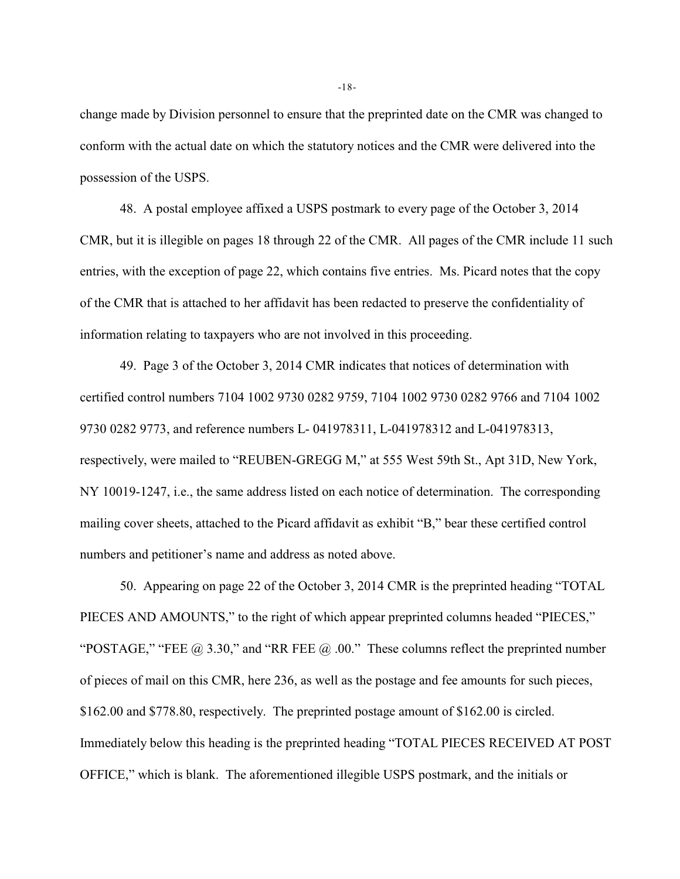change made by Division personnel to ensure that the preprinted date on the CMR was changed to conform with the actual date on which the statutory notices and the CMR were delivered into the possession of the USPS.

48. A postal employee affixed a USPS postmark to every page of the October 3, 2014 CMR, but it is illegible on pages 18 through 22 of the CMR. All pages of the CMR include 11 such entries, with the exception of page 22, which contains five entries. Ms. Picard notes that the copy of the CMR that is attached to her affidavit has been redacted to preserve the confidentiality of information relating to taxpayers who are not involved in this proceeding.

49. Page 3 of the October 3, 2014 CMR indicates that notices of determination with certified control numbers 7104 1002 9730 0282 9759, 7104 1002 9730 0282 9766 and 7104 1002 9730 0282 9773, and reference numbers L- 041978311, L-041978312 and L-041978313, respectively, were mailed to "REUBEN-GREGG M," at 555 West 59th St., Apt 31D, New York, NY 10019-1247, i.e., the same address listed on each notice of determination. The corresponding mailing cover sheets, attached to the Picard affidavit as exhibit "B," bear these certified control numbers and petitioner's name and address as noted above.

50. Appearing on page 22 of the October 3, 2014 CMR is the preprinted heading "TOTAL PIECES AND AMOUNTS," to the right of which appear preprinted columns headed "PIECES," "POSTAGE," "FEE  $@$  3.30," and "RR FEE  $@$  .00." These columns reflect the preprinted number of pieces of mail on this CMR, here 236, as well as the postage and fee amounts for such pieces, \$162.00 and \$778.80, respectively. The preprinted postage amount of \$162.00 is circled. Immediately below this heading is the preprinted heading "TOTAL PIECES RECEIVED AT POST OFFICE," which is blank. The aforementioned illegible USPS postmark, and the initials or

-18-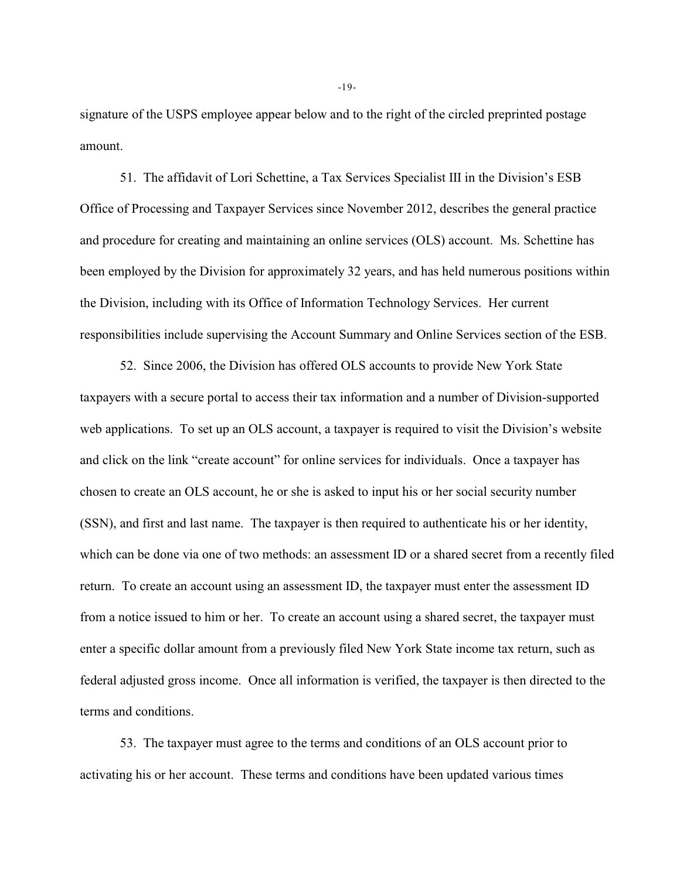signature of the USPS employee appear below and to the right of the circled preprinted postage amount.

51. The affidavit of Lori Schettine, a Tax Services Specialist III in the Division's ESB Office of Processing and Taxpayer Services since November 2012, describes the general practice and procedure for creating and maintaining an online services (OLS) account. Ms. Schettine has been employed by the Division for approximately 32 years, and has held numerous positions within the Division, including with its Office of Information Technology Services. Her current responsibilities include supervising the Account Summary and Online Services section of the ESB.

52. Since 2006, the Division has offered OLS accounts to provide New York State taxpayers with a secure portal to access their tax information and a number of Division-supported web applications. To set up an OLS account, a taxpayer is required to visit the Division's website and click on the link "create account" for online services for individuals. Once a taxpayer has chosen to create an OLS account, he or she is asked to input his or her social security number (SSN), and first and last name. The taxpayer is then required to authenticate his or her identity, which can be done via one of two methods: an assessment ID or a shared secret from a recently filed return. To create an account using an assessment ID, the taxpayer must enter the assessment ID from a notice issued to him or her. To create an account using a shared secret, the taxpayer must enter a specific dollar amount from a previously filed New York State income tax return, such as federal adjusted gross income. Once all information is verified, the taxpayer is then directed to the terms and conditions.

53. The taxpayer must agree to the terms and conditions of an OLS account prior to activating his or her account. These terms and conditions have been updated various times

-19-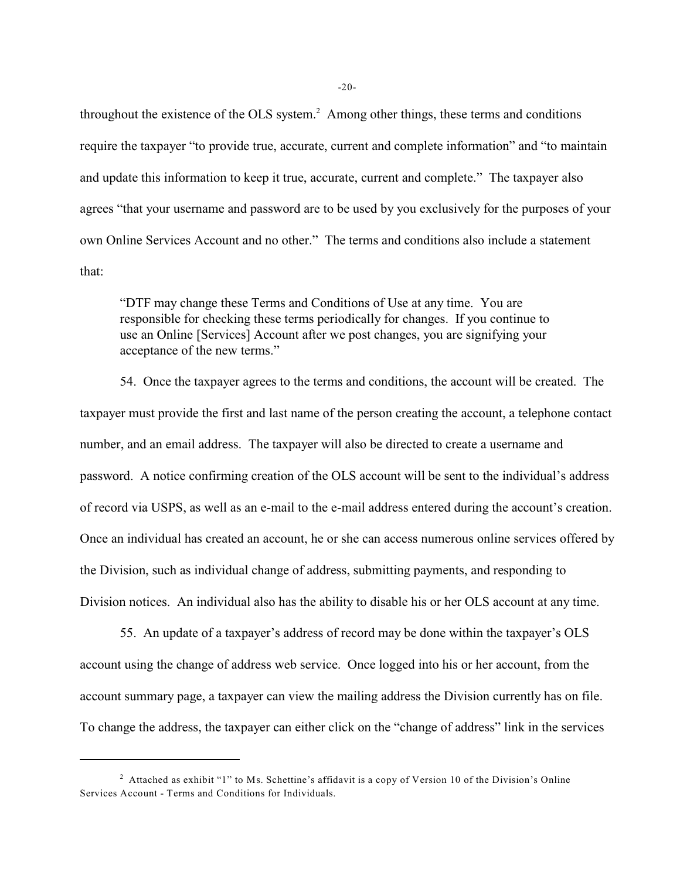throughout the existence of the OLS system. $^2$  Among other things, these terms and conditions require the taxpayer "to provide true, accurate, current and complete information" and "to maintain and update this information to keep it true, accurate, current and complete." The taxpayer also agrees "that your username and password are to be used by you exclusively for the purposes of your own Online Services Account and no other." The terms and conditions also include a statement that:

"DTF may change these Terms and Conditions of Use at any time. You are responsible for checking these terms periodically for changes. If you continue to use an Online [Services] Account after we post changes, you are signifying your acceptance of the new terms."

54. Once the taxpayer agrees to the terms and conditions, the account will be created. The taxpayer must provide the first and last name of the person creating the account, a telephone contact number, and an email address. The taxpayer will also be directed to create a username and password. A notice confirming creation of the OLS account will be sent to the individual's address of record via USPS, as well as an e-mail to the e-mail address entered during the account's creation. Once an individual has created an account, he or she can access numerous online services offered by the Division, such as individual change of address, submitting payments, and responding to Division notices. An individual also has the ability to disable his or her OLS account at any time.

55. An update of a taxpayer's address of record may be done within the taxpayer's OLS account using the change of address web service. Once logged into his or her account, from the account summary page, a taxpayer can view the mailing address the Division currently has on file. To change the address, the taxpayer can either click on the "change of address" link in the services

 $-20-$ 

<sup>&</sup>lt;sup>2</sup> Attached as exhibit "1" to Ms. Schettine's affidavit is a copy of Version 10 of the Division's Online Services Account - Terms and Conditions for Individuals.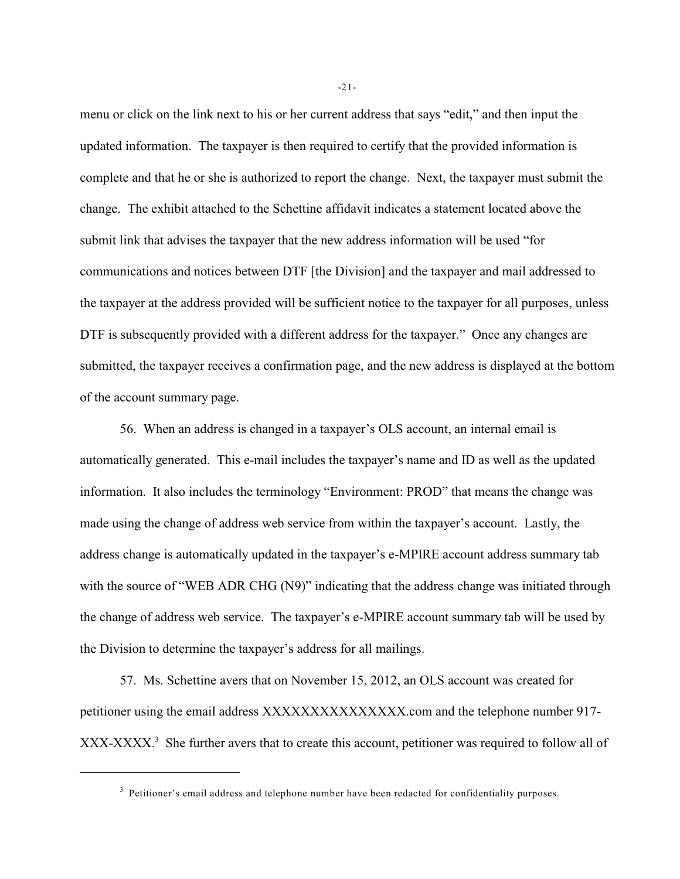menu or click on the link next to his or her current address that says "edit," and then input the updated information. The taxpayer is then required to certify that the provided information is complete and that he or she is authorized to report the change. Next, the taxpayer must submit the change. The exhibit attached to the Schettine affidavit indicates a statement located above the submit link that advises the taxpayer that the new address information will be used "for communications and notices between DTF [the Division] and the taxpayer and mail addressed to the taxpayer at the address provided will be sufficient notice to the taxpayer for all purposes, unless DTF is subsequently provided with a different address for the taxpayer." Once any changes are submitted, the taxpayer receives a confirmation page, and the new address is displayed at the bottom of the account summary page.

56. When an address is changed in a taxpayer's OLS account, an internal email is automatically generated. This e-mail includes the taxpayer's name and ID as well as the updated information. It also includes the terminology "Environment: PROD" that means the change was made using the change of address web service from within the taxpayer's account. Lastly, the address change is automatically updated in the taxpayer's e-MPIRE account address summary tab with the source of "WEB ADR CHG (N9)" indicating that the address change was initiated through the change of address web service. The taxpayer's e-MPIRE account summary tab will be used by the Division to determine the taxpayer's address for all mailings.

57. Ms. Schettine avers that on November 15, 2012, an OLS account was created for petitioner using the email address XXXXXXXXXXXXXXX.com and the telephone number 917- XXX-XXXX<sup>3</sup>. She further avers that to create this account, petitioner was required to follow all of

-21-

<sup>&</sup>lt;sup>3</sup> Petitioner's email address and telephone number have been redacted for confidentiality purposes.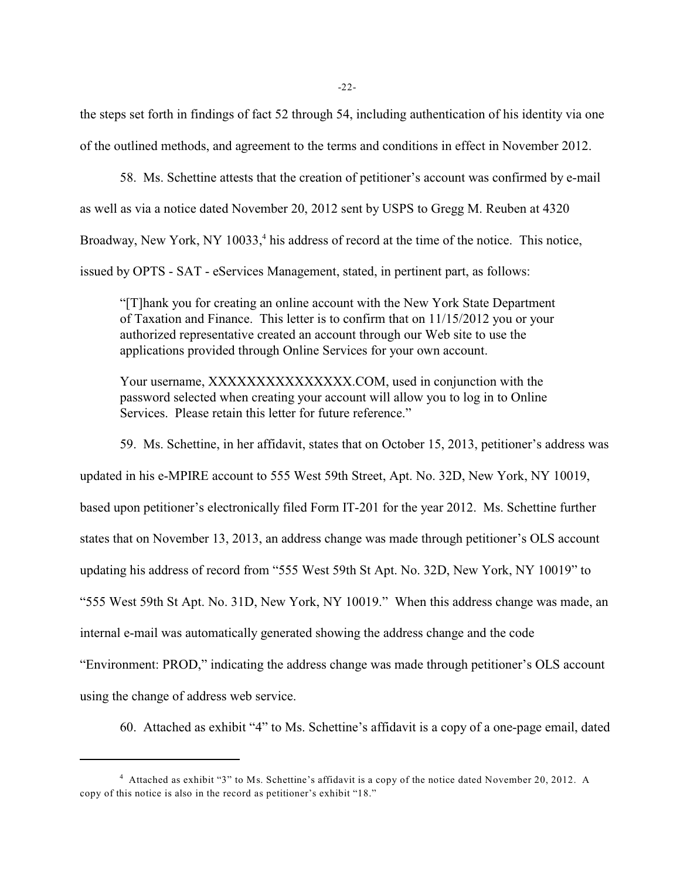the steps set forth in findings of fact 52 through 54, including authentication of his identity via one of the outlined methods, and agreement to the terms and conditions in effect in November 2012.

58. Ms. Schettine attests that the creation of petitioner's account was confirmed by e-mail as well as via a notice dated November 20, 2012 sent by USPS to Gregg M. Reuben at 4320 Broadway, New York, NY 10033,<sup>4</sup> his address of record at the time of the notice. This notice, issued by OPTS - SAT - eServices Management, stated, in pertinent part, as follows:

"[T]hank you for creating an online account with the New York State Department of Taxation and Finance. This letter is to confirm that on 11/15/2012 you or your authorized representative created an account through our Web site to use the applications provided through Online Services for your own account.

Your username, XXXXXXXXXXXXXXX.COM, used in conjunction with the password selected when creating your account will allow you to log in to Online Services. Please retain this letter for future reference."

59. Ms. Schettine, in her affidavit, states that on October 15, 2013, petitioner's address was

updated in his e-MPIRE account to 555 West 59th Street, Apt. No. 32D, New York, NY 10019,

based upon petitioner's electronically filed Form IT-201 for the year 2012. Ms. Schettine further

states that on November 13, 2013, an address change was made through petitioner's OLS account

updating his address of record from "555 West 59th St Apt. No. 32D, New York, NY 10019" to

"555 West 59th St Apt. No. 31D, New York, NY 10019." When this address change was made, an

internal e-mail was automatically generated showing the address change and the code

"Environment: PROD," indicating the address change was made through petitioner's OLS account

using the change of address web service.

60. Attached as exhibit "4" to Ms. Schettine's affidavit is a copy of a one-page email, dated

<sup>&</sup>lt;sup>4</sup> Attached as exhibit "3" to Ms. Schettine's affidavit is a copy of the notice dated November 20, 2012. A copy of this notice is also in the record as petitioner's exhibit "18."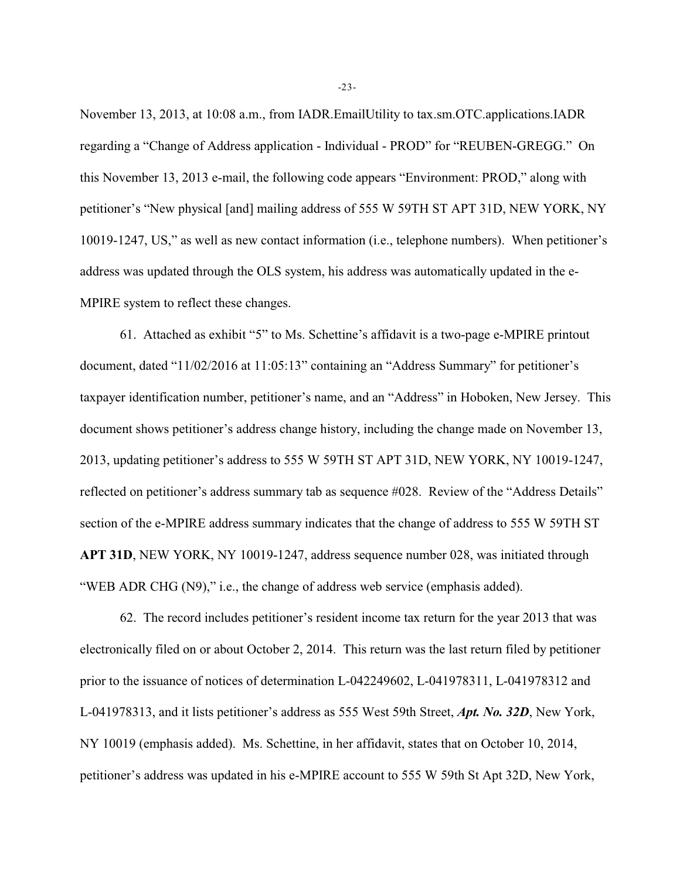November 13, 2013, at 10:08 a.m., from IADR.EmailUtility to tax.sm.OTC.applications.IADR regarding a "Change of Address application - Individual - PROD" for "REUBEN-GREGG." On this November 13, 2013 e-mail, the following code appears "Environment: PROD," along with petitioner's "New physical [and] mailing address of 555 W 59TH ST APT 31D, NEW YORK, NY 10019-1247, US," as well as new contact information (i.e., telephone numbers). When petitioner's address was updated through the OLS system, his address was automatically updated in the e-MPIRE system to reflect these changes.

61. Attached as exhibit "5" to Ms. Schettine's affidavit is a two-page e-MPIRE printout document, dated "11/02/2016 at 11:05:13" containing an "Address Summary" for petitioner's taxpayer identification number, petitioner's name, and an "Address" in Hoboken, New Jersey. This document shows petitioner's address change history, including the change made on November 13, 2013, updating petitioner's address to 555 W 59TH ST APT 31D, NEW YORK, NY 10019-1247, reflected on petitioner's address summary tab as sequence #028. Review of the "Address Details" section of the e-MPIRE address summary indicates that the change of address to 555 W 59TH ST **APT 31D**, NEW YORK, NY 10019-1247, address sequence number 028, was initiated through "WEB ADR CHG (N9)," i.e., the change of address web service (emphasis added).

62. The record includes petitioner's resident income tax return for the year 2013 that was electronically filed on or about October 2, 2014. This return was the last return filed by petitioner prior to the issuance of notices of determination L-042249602, L-041978311, L-041978312 and L-041978313, and it lists petitioner's address as 555 West 59th Street, *Apt. No. 32D*, New York, NY 10019 (emphasis added). Ms. Schettine, in her affidavit, states that on October 10, 2014, petitioner's address was updated in his e-MPIRE account to 555 W 59th St Apt 32D, New York,

-23-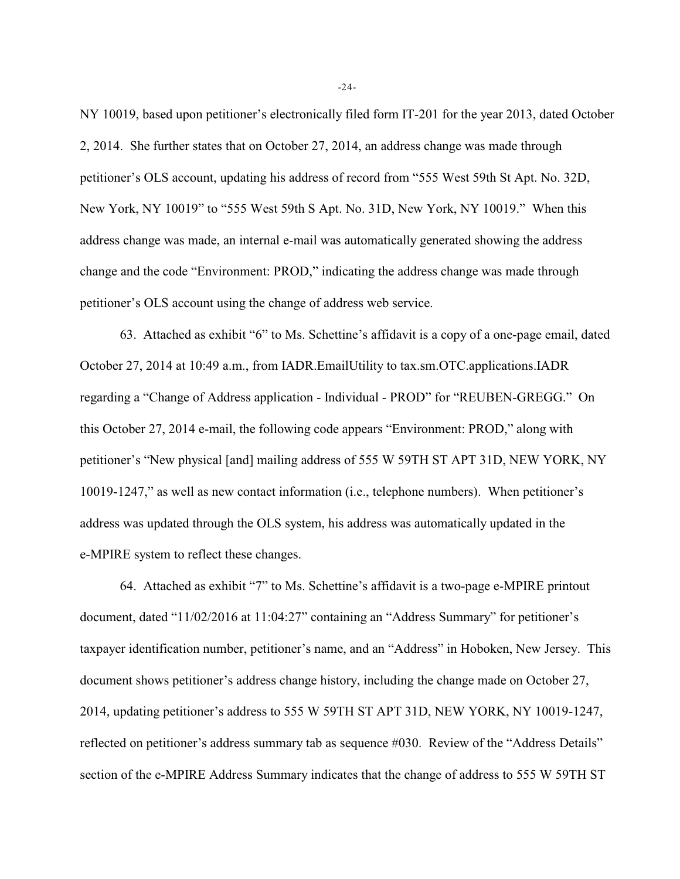NY 10019, based upon petitioner's electronically filed form IT-201 for the year 2013, dated October 2, 2014. She further states that on October 27, 2014, an address change was made through petitioner's OLS account, updating his address of record from "555 West 59th St Apt. No. 32D, New York, NY 10019" to "555 West 59th S Apt. No. 31D, New York, NY 10019." When this address change was made, an internal e-mail was automatically generated showing the address change and the code "Environment: PROD," indicating the address change was made through petitioner's OLS account using the change of address web service.

63. Attached as exhibit "6" to Ms. Schettine's affidavit is a copy of a one-page email, dated October 27, 2014 at 10:49 a.m., from IADR.EmailUtility to tax.sm.OTC.applications.IADR regarding a "Change of Address application - Individual - PROD" for "REUBEN-GREGG." On this October 27, 2014 e-mail, the following code appears "Environment: PROD," along with petitioner's "New physical [and] mailing address of 555 W 59TH ST APT 31D, NEW YORK, NY 10019-1247," as well as new contact information (i.e., telephone numbers). When petitioner's address was updated through the OLS system, his address was automatically updated in the e-MPIRE system to reflect these changes.

64. Attached as exhibit "7" to Ms. Schettine's affidavit is a two-page e-MPIRE printout document, dated "11/02/2016 at 11:04:27" containing an "Address Summary" for petitioner's taxpayer identification number, petitioner's name, and an "Address" in Hoboken, New Jersey. This document shows petitioner's address change history, including the change made on October 27, 2014, updating petitioner's address to 555 W 59TH ST APT 31D, NEW YORK, NY 10019-1247, reflected on petitioner's address summary tab as sequence #030. Review of the "Address Details" section of the e-MPIRE Address Summary indicates that the change of address to 555 W 59TH ST

-24-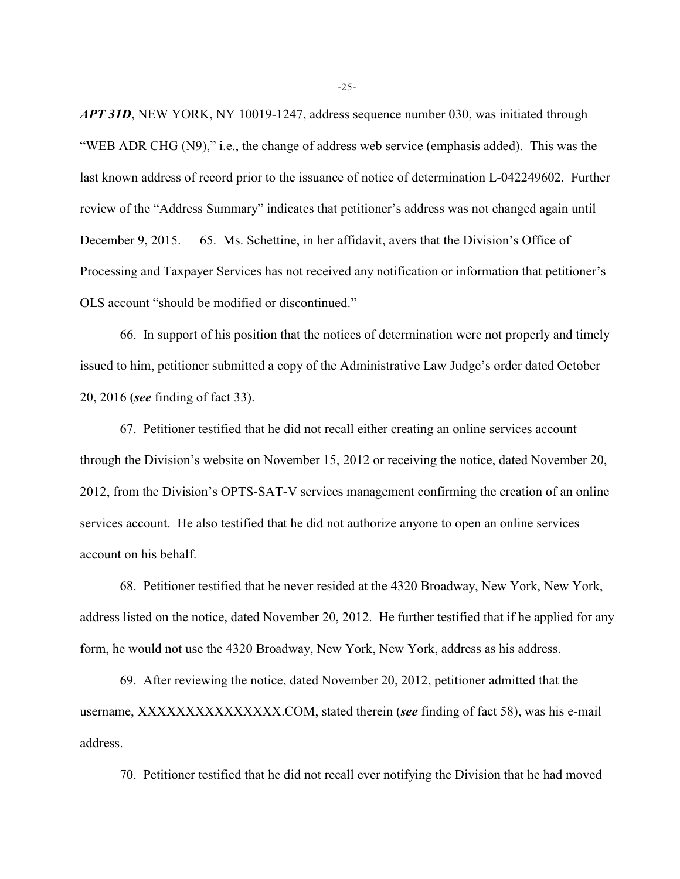*APT 31D*, NEW YORK, NY 10019-1247, address sequence number 030, was initiated through "WEB ADR CHG (N9)," i.e., the change of address web service (emphasis added). This was the last known address of record prior to the issuance of notice of determination L-042249602. Further review of the "Address Summary" indicates that petitioner's address was not changed again until December 9, 2015. 65. Ms. Schettine, in her affidavit, avers that the Division's Office of Processing and Taxpayer Services has not received any notification or information that petitioner's OLS account "should be modified or discontinued."

66. In support of his position that the notices of determination were not properly and timely issued to him, petitioner submitted a copy of the Administrative Law Judge's order dated October 20, 2016 (*see* finding of fact 33).

67. Petitioner testified that he did not recall either creating an online services account through the Division's website on November 15, 2012 or receiving the notice, dated November 20, 2012, from the Division's OPTS-SAT-V services management confirming the creation of an online services account. He also testified that he did not authorize anyone to open an online services account on his behalf.

68. Petitioner testified that he never resided at the 4320 Broadway, New York, New York, address listed on the notice, dated November 20, 2012. He further testified that if he applied for any form, he would not use the 4320 Broadway, New York, New York, address as his address.

69. After reviewing the notice, dated November 20, 2012, petitioner admitted that the username, XXXXXXXXXXXXXXX.COM, stated therein (*see* finding of fact 58), was his e-mail address.

70. Petitioner testified that he did not recall ever notifying the Division that he had moved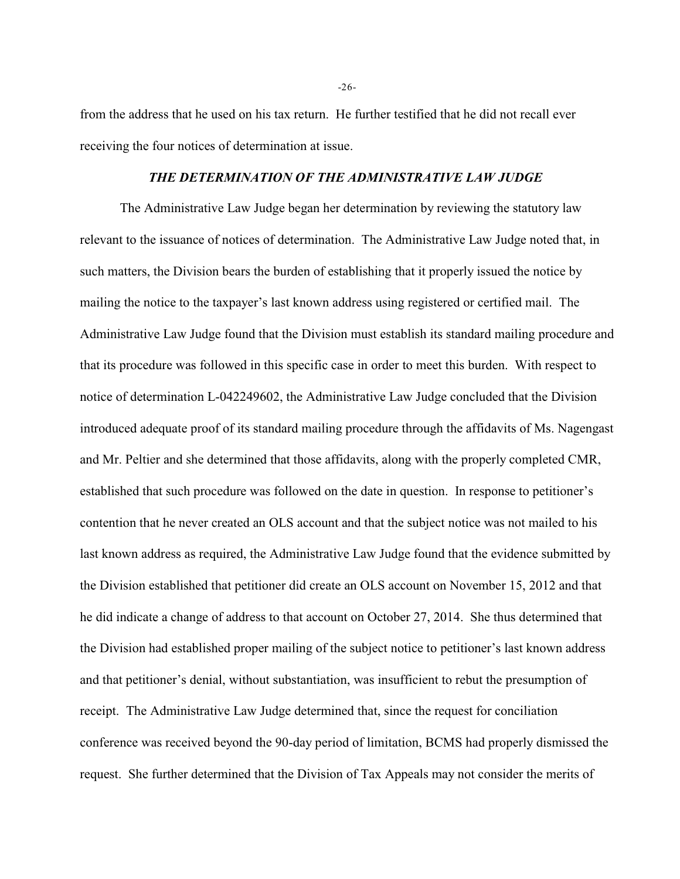from the address that he used on his tax return. He further testified that he did not recall ever receiving the four notices of determination at issue.

## *THE DETERMINATION OF THE ADMINISTRATIVE LAW JUDGE*

The Administrative Law Judge began her determination by reviewing the statutory law relevant to the issuance of notices of determination. The Administrative Law Judge noted that, in such matters, the Division bears the burden of establishing that it properly issued the notice by mailing the notice to the taxpayer's last known address using registered or certified mail. The Administrative Law Judge found that the Division must establish its standard mailing procedure and that its procedure was followed in this specific case in order to meet this burden. With respect to notice of determination L-042249602, the Administrative Law Judge concluded that the Division introduced adequate proof of its standard mailing procedure through the affidavits of Ms. Nagengast and Mr. Peltier and she determined that those affidavits, along with the properly completed CMR, established that such procedure was followed on the date in question. In response to petitioner's contention that he never created an OLS account and that the subject notice was not mailed to his last known address as required, the Administrative Law Judge found that the evidence submitted by the Division established that petitioner did create an OLS account on November 15, 2012 and that he did indicate a change of address to that account on October 27, 2014. She thus determined that the Division had established proper mailing of the subject notice to petitioner's last known address and that petitioner's denial, without substantiation, was insufficient to rebut the presumption of receipt. The Administrative Law Judge determined that, since the request for conciliation conference was received beyond the 90-day period of limitation, BCMS had properly dismissed the request. She further determined that the Division of Tax Appeals may not consider the merits of

-26-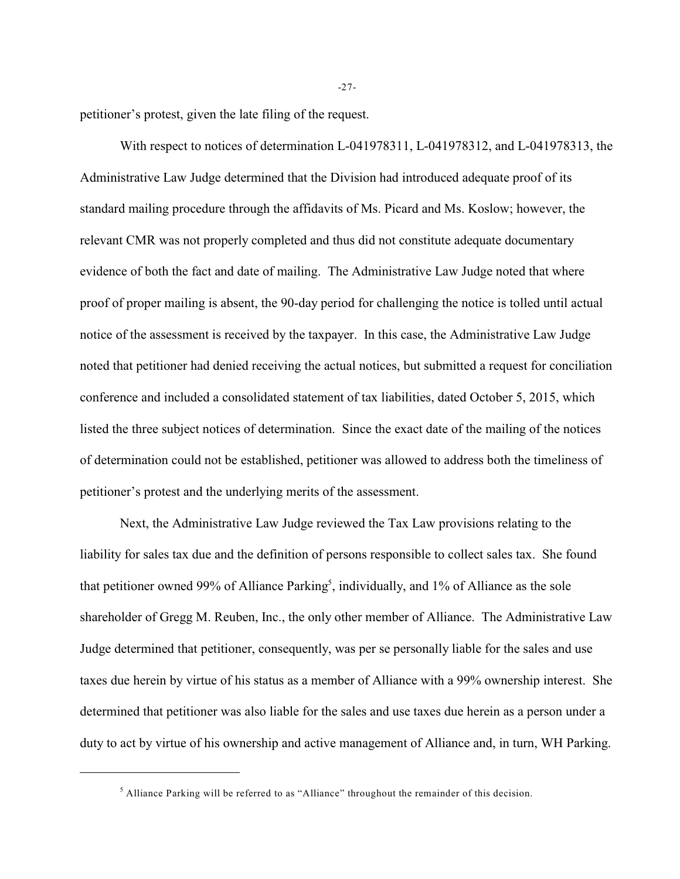petitioner's protest, given the late filing of the request.

With respect to notices of determination L-041978311, L-041978312, and L-041978313, the Administrative Law Judge determined that the Division had introduced adequate proof of its standard mailing procedure through the affidavits of Ms. Picard and Ms. Koslow; however, the relevant CMR was not properly completed and thus did not constitute adequate documentary evidence of both the fact and date of mailing. The Administrative Law Judge noted that where proof of proper mailing is absent, the 90-day period for challenging the notice is tolled until actual notice of the assessment is received by the taxpayer. In this case, the Administrative Law Judge noted that petitioner had denied receiving the actual notices, but submitted a request for conciliation conference and included a consolidated statement of tax liabilities, dated October 5, 2015, which listed the three subject notices of determination. Since the exact date of the mailing of the notices of determination could not be established, petitioner was allowed to address both the timeliness of petitioner's protest and the underlying merits of the assessment.

Next, the Administrative Law Judge reviewed the Tax Law provisions relating to the liability for sales tax due and the definition of persons responsible to collect sales tax. She found that petitioner owned 99% of Alliance Parking<sup>5</sup>, individually, and 1% of Alliance as the sole shareholder of Gregg M. Reuben, Inc., the only other member of Alliance. The Administrative Law Judge determined that petitioner, consequently, was per se personally liable for the sales and use taxes due herein by virtue of his status as a member of Alliance with a 99% ownership interest. She determined that petitioner was also liable for the sales and use taxes due herein as a person under a duty to act by virtue of his ownership and active management of Alliance and, in turn, WH Parking.

-27-

 $<sup>5</sup>$  Alliance Parking will be referred to as "Alliance" throughout the remainder of this decision.</sup>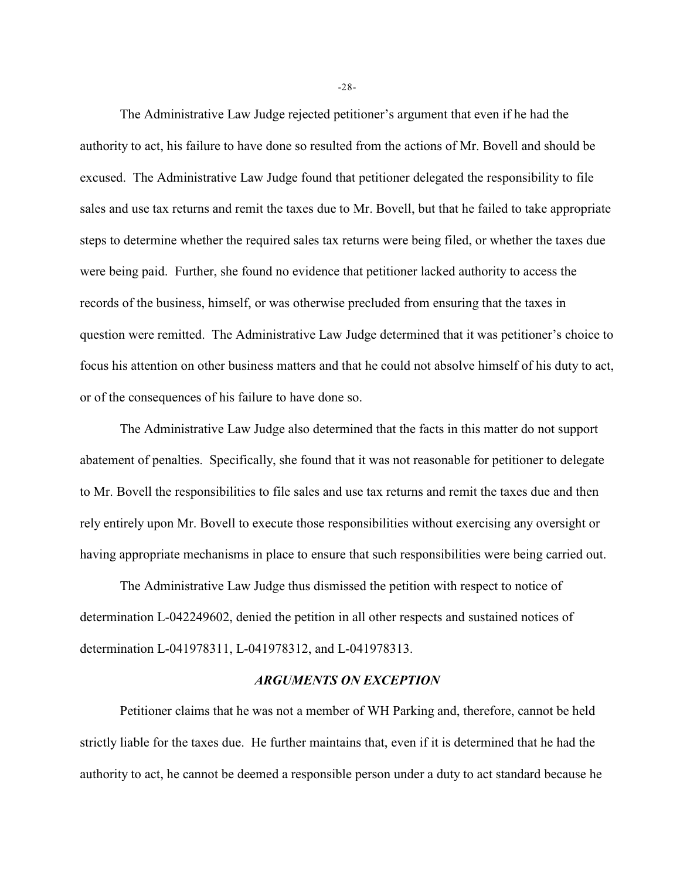The Administrative Law Judge rejected petitioner's argument that even if he had the authority to act, his failure to have done so resulted from the actions of Mr. Bovell and should be excused. The Administrative Law Judge found that petitioner delegated the responsibility to file sales and use tax returns and remit the taxes due to Mr. Bovell, but that he failed to take appropriate steps to determine whether the required sales tax returns were being filed, or whether the taxes due were being paid. Further, she found no evidence that petitioner lacked authority to access the records of the business, himself, or was otherwise precluded from ensuring that the taxes in question were remitted. The Administrative Law Judge determined that it was petitioner's choice to focus his attention on other business matters and that he could not absolve himself of his duty to act, or of the consequences of his failure to have done so.

The Administrative Law Judge also determined that the facts in this matter do not support abatement of penalties. Specifically, she found that it was not reasonable for petitioner to delegate to Mr. Bovell the responsibilities to file sales and use tax returns and remit the taxes due and then rely entirely upon Mr. Bovell to execute those responsibilities without exercising any oversight or having appropriate mechanisms in place to ensure that such responsibilities were being carried out.

The Administrative Law Judge thus dismissed the petition with respect to notice of determination L-042249602, denied the petition in all other respects and sustained notices of determination L-041978311, L-041978312, and L-041978313.

## *ARGUMENTS ON EXCEPTION*

Petitioner claims that he was not a member of WH Parking and, therefore, cannot be held strictly liable for the taxes due. He further maintains that, even if it is determined that he had the authority to act, he cannot be deemed a responsible person under a duty to act standard because he

-28-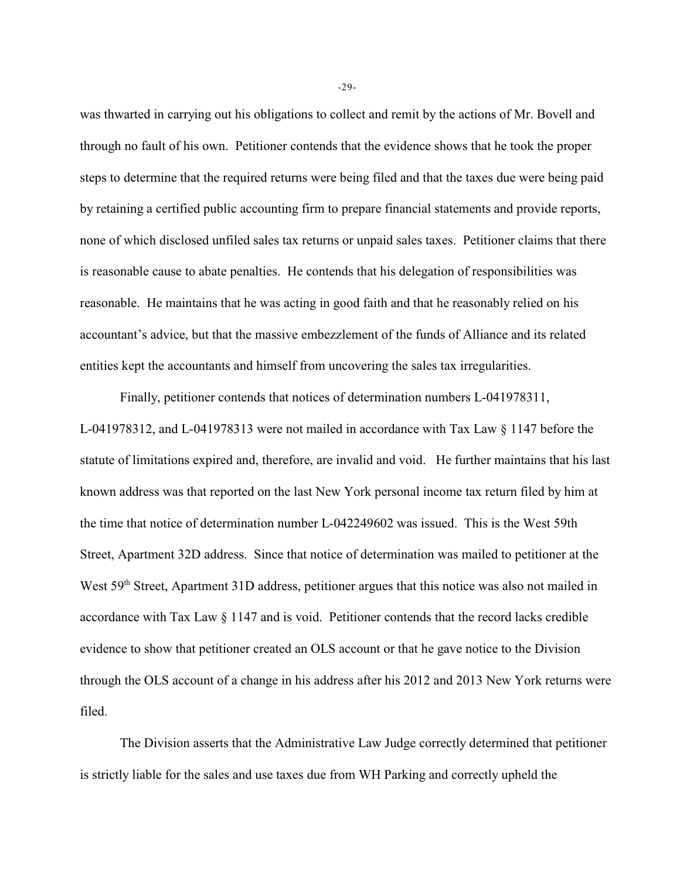was thwarted in carrying out his obligations to collect and remit by the actions of Mr. Bovell and through no fault of his own. Petitioner contends that the evidence shows that he took the proper steps to determine that the required returns were being filed and that the taxes due were being paid by retaining a certified public accounting firm to prepare financial statements and provide reports, none of which disclosed unfiled sales tax returns or unpaid sales taxes. Petitioner claims that there is reasonable cause to abate penalties. He contends that his delegation of responsibilities was reasonable. He maintains that he was acting in good faith and that he reasonably relied on his accountant's advice, but that the massive embezzlement of the funds of Alliance and its related entities kept the accountants and himself from uncovering the sales tax irregularities.

Finally, petitioner contends that notices of determination numbers L-041978311, L-041978312, and L-041978313 were not mailed in accordance with Tax Law § 1147 before the statute of limitations expired and, therefore, are invalid and void. He further maintains that his last known address was that reported on the last New York personal income tax return filed by him at the time that notice of determination number L-042249602 was issued. This is the West 59th Street, Apartment 32D address. Since that notice of determination was mailed to petitioner at the West 59<sup>th</sup> Street, Apartment 31D address, petitioner argues that this notice was also not mailed in accordance with Tax Law § 1147 and is void. Petitioner contends that the record lacks credible evidence to show that petitioner created an OLS account or that he gave notice to the Division through the OLS account of a change in his address after his 2012 and 2013 New York returns were filed.

The Division asserts that the Administrative Law Judge correctly determined that petitioner is strictly liable for the sales and use taxes due from WH Parking and correctly upheld the

-29-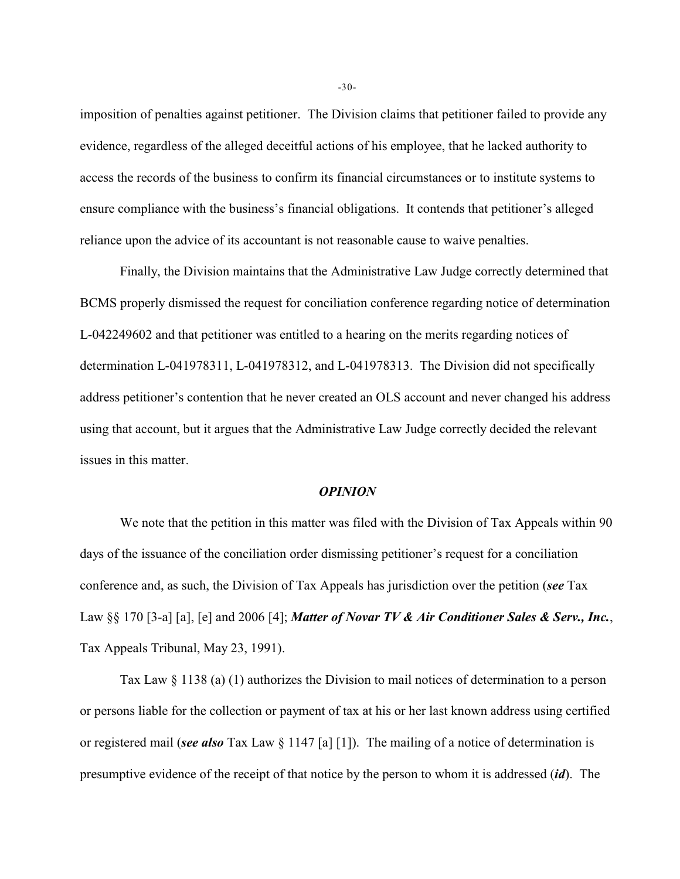imposition of penalties against petitioner. The Division claims that petitioner failed to provide any evidence, regardless of the alleged deceitful actions of his employee, that he lacked authority to access the records of the business to confirm its financial circumstances or to institute systems to ensure compliance with the business's financial obligations. It contends that petitioner's alleged reliance upon the advice of its accountant is not reasonable cause to waive penalties.

Finally, the Division maintains that the Administrative Law Judge correctly determined that BCMS properly dismissed the request for conciliation conference regarding notice of determination L-042249602 and that petitioner was entitled to a hearing on the merits regarding notices of determination L-041978311, L-041978312, and L-041978313. The Division did not specifically address petitioner's contention that he never created an OLS account and never changed his address using that account, but it argues that the Administrative Law Judge correctly decided the relevant issues in this matter.

#### *OPINION*

We note that the petition in this matter was filed with the Division of Tax Appeals within 90 days of the issuance of the conciliation order dismissing petitioner's request for a conciliation conference and, as such, the Division of Tax Appeals has jurisdiction over the petition (*see* Tax Law §§ 170 [3-a] [a], [e] and 2006 [4]; *Matter of Novar TV & Air Conditioner Sales & Serv., Inc.*, Tax Appeals Tribunal, May 23, 1991).

Tax Law § 1138 (a) (1) authorizes the Division to mail notices of determination to a person or persons liable for the collection or payment of tax at his or her last known address using certified or registered mail (*see also* Tax Law § 1147 [a] [1]). The mailing of a notice of determination is presumptive evidence of the receipt of that notice by the person to whom it is addressed (*id*). The

-30-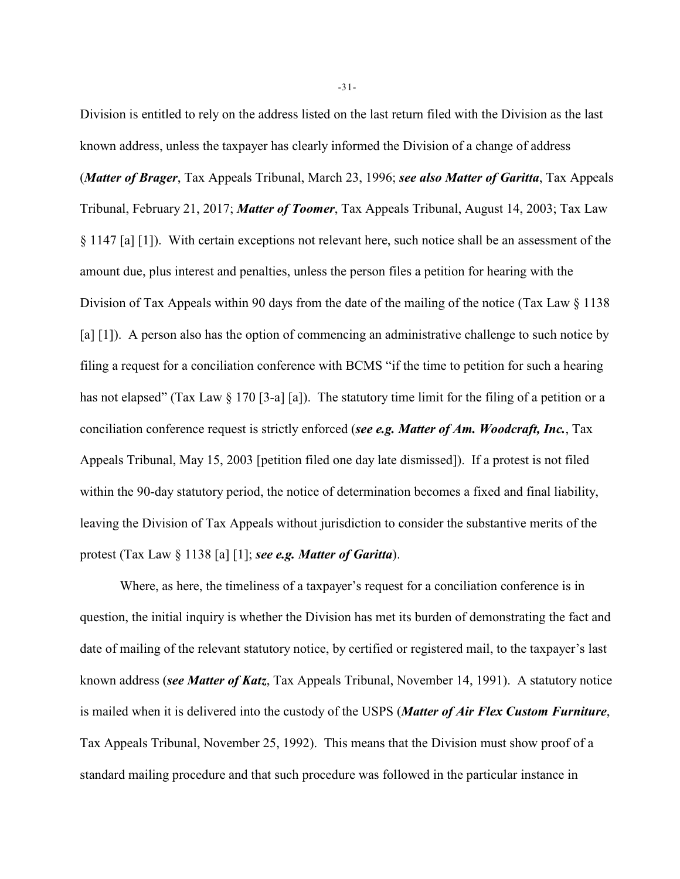Division is entitled to rely on the address listed on the last return filed with the Division as the last known address, unless the taxpayer has clearly informed the Division of a change of address (*Matter of Brager*, Tax Appeals Tribunal, March 23, 1996; *see also Matter of Garitta*, Tax Appeals Tribunal, February 21, 2017; *Matter of Toomer*, Tax Appeals Tribunal, August 14, 2003; Tax Law § 1147 [a] [1]). With certain exceptions not relevant here, such notice shall be an assessment of the amount due, plus interest and penalties, unless the person files a petition for hearing with the Division of Tax Appeals within 90 days from the date of the mailing of the notice (Tax Law § 1138) [a] [1]). A person also has the option of commencing an administrative challenge to such notice by filing a request for a conciliation conference with BCMS "if the time to petition for such a hearing has not elapsed" (Tax Law § 170 [3-a] [a]). The statutory time limit for the filing of a petition or a conciliation conference request is strictly enforced (*see e.g. Matter of Am. Woodcraft, Inc.*, Tax Appeals Tribunal, May 15, 2003 [petition filed one day late dismissed]). If a protest is not filed within the 90-day statutory period, the notice of determination becomes a fixed and final liability, leaving the Division of Tax Appeals without jurisdiction to consider the substantive merits of the protest (Tax Law § 1138 [a] [1]; *see e.g. Matter of Garitta*).

Where, as here, the timeliness of a taxpayer's request for a conciliation conference is in question, the initial inquiry is whether the Division has met its burden of demonstrating the fact and date of mailing of the relevant statutory notice, by certified or registered mail, to the taxpayer's last known address (*see Matter of Katz*, Tax Appeals Tribunal, November 14, 1991). A statutory notice is mailed when it is delivered into the custody of the USPS (*Matter of Air Flex Custom Furniture*, Tax Appeals Tribunal, November 25, 1992). This means that the Division must show proof of a standard mailing procedure and that such procedure was followed in the particular instance in

-31-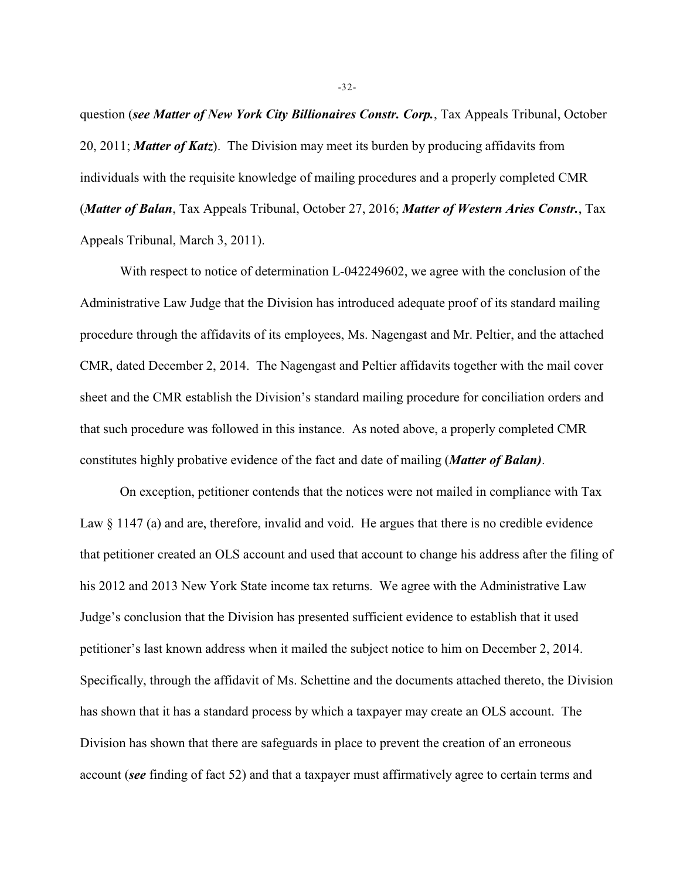question (*see Matter of New York City Billionaires Constr. Corp.*, Tax Appeals Tribunal, October 20, 2011; *Matter of Katz*). The Division may meet its burden by producing affidavits from individuals with the requisite knowledge of mailing procedures and a properly completed CMR (*Matter of Balan*, Tax Appeals Tribunal, October 27, 2016; *Matter of Western Aries Constr.*, Tax Appeals Tribunal, March 3, 2011).

With respect to notice of determination L-042249602, we agree with the conclusion of the Administrative Law Judge that the Division has introduced adequate proof of its standard mailing procedure through the affidavits of its employees, Ms. Nagengast and Mr. Peltier, and the attached CMR, dated December 2, 2014. The Nagengast and Peltier affidavits together with the mail cover sheet and the CMR establish the Division's standard mailing procedure for conciliation orders and that such procedure was followed in this instance. As noted above, a properly completed CMR constitutes highly probative evidence of the fact and date of mailing (*Matter of Balan)*.

On exception, petitioner contends that the notices were not mailed in compliance with Tax Law  $\S$  1147 (a) and are, therefore, invalid and void. He argues that there is no credible evidence that petitioner created an OLS account and used that account to change his address after the filing of his 2012 and 2013 New York State income tax returns. We agree with the Administrative Law Judge's conclusion that the Division has presented sufficient evidence to establish that it used petitioner's last known address when it mailed the subject notice to him on December 2, 2014. Specifically, through the affidavit of Ms. Schettine and the documents attached thereto, the Division has shown that it has a standard process by which a taxpayer may create an OLS account. The Division has shown that there are safeguards in place to prevent the creation of an erroneous account (*see* finding of fact 52) and that a taxpayer must affirmatively agree to certain terms and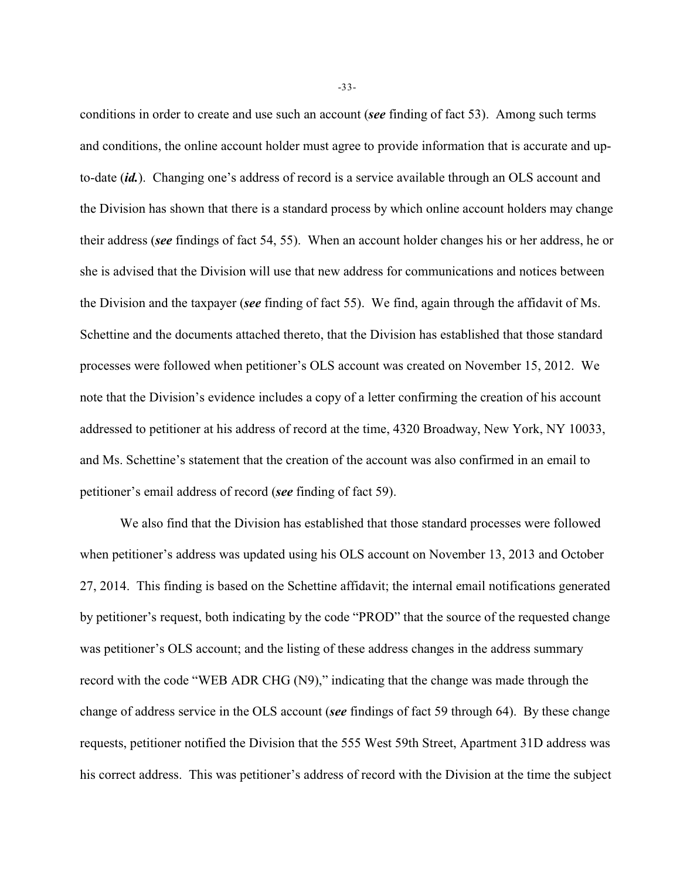conditions in order to create and use such an account (*see* finding of fact 53). Among such terms and conditions, the online account holder must agree to provide information that is accurate and upto-date (*id.*). Changing one's address of record is a service available through an OLS account and the Division has shown that there is a standard process by which online account holders may change their address (*see* findings of fact 54, 55). When an account holder changes his or her address, he or she is advised that the Division will use that new address for communications and notices between the Division and the taxpayer (*see* finding of fact 55). We find, again through the affidavit of Ms. Schettine and the documents attached thereto, that the Division has established that those standard processes were followed when petitioner's OLS account was created on November 15, 2012. We note that the Division's evidence includes a copy of a letter confirming the creation of his account addressed to petitioner at his address of record at the time, 4320 Broadway, New York, NY 10033, and Ms. Schettine's statement that the creation of the account was also confirmed in an email to petitioner's email address of record (*see* finding of fact 59).

We also find that the Division has established that those standard processes were followed when petitioner's address was updated using his OLS account on November 13, 2013 and October 27, 2014. This finding is based on the Schettine affidavit; the internal email notifications generated by petitioner's request, both indicating by the code "PROD" that the source of the requested change was petitioner's OLS account; and the listing of these address changes in the address summary record with the code "WEB ADR CHG (N9)," indicating that the change was made through the change of address service in the OLS account (*see* findings of fact 59 through 64). By these change requests, petitioner notified the Division that the 555 West 59th Street, Apartment 31D address was his correct address. This was petitioner's address of record with the Division at the time the subject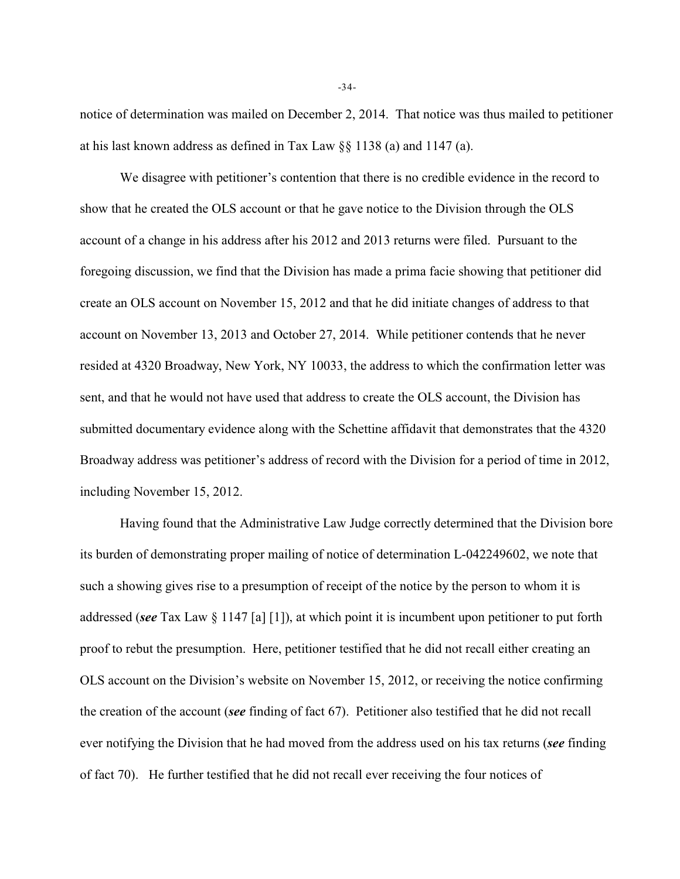notice of determination was mailed on December 2, 2014. That notice was thus mailed to petitioner at his last known address as defined in Tax Law §§ 1138 (a) and 1147 (a).

We disagree with petitioner's contention that there is no credible evidence in the record to show that he created the OLS account or that he gave notice to the Division through the OLS account of a change in his address after his 2012 and 2013 returns were filed. Pursuant to the foregoing discussion, we find that the Division has made a prima facie showing that petitioner did create an OLS account on November 15, 2012 and that he did initiate changes of address to that account on November 13, 2013 and October 27, 2014. While petitioner contends that he never resided at 4320 Broadway, New York, NY 10033, the address to which the confirmation letter was sent, and that he would not have used that address to create the OLS account, the Division has submitted documentary evidence along with the Schettine affidavit that demonstrates that the 4320 Broadway address was petitioner's address of record with the Division for a period of time in 2012, including November 15, 2012.

Having found that the Administrative Law Judge correctly determined that the Division bore its burden of demonstrating proper mailing of notice of determination L-042249602, we note that such a showing gives rise to a presumption of receipt of the notice by the person to whom it is addressed (*see* Tax Law § 1147 [a] [1]), at which point it is incumbent upon petitioner to put forth proof to rebut the presumption. Here, petitioner testified that he did not recall either creating an OLS account on the Division's website on November 15, 2012, or receiving the notice confirming the creation of the account (*see* finding of fact 67). Petitioner also testified that he did not recall ever notifying the Division that he had moved from the address used on his tax returns (*see* finding of fact 70). He further testified that he did not recall ever receiving the four notices of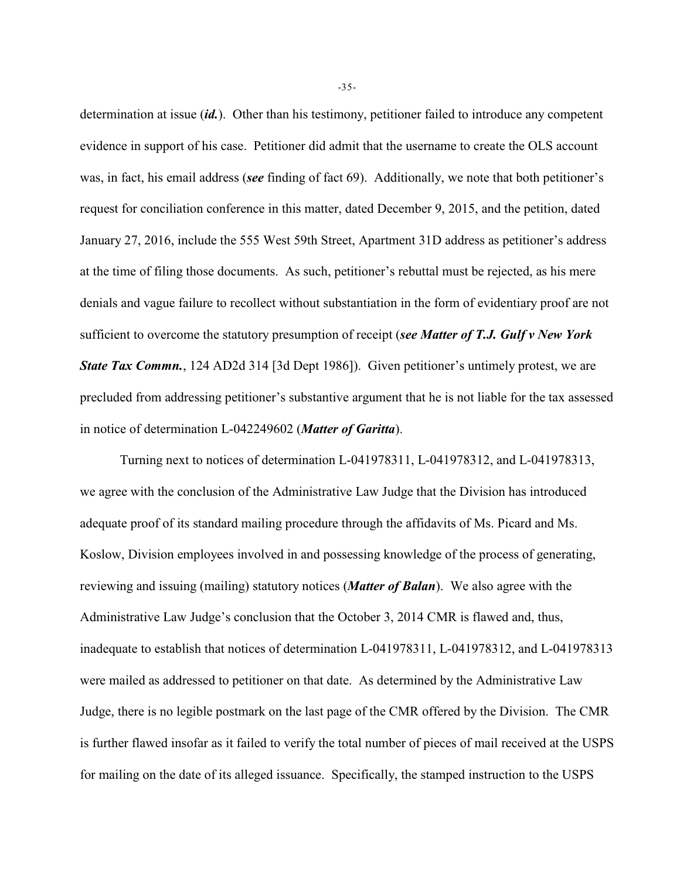determination at issue (*id.*). Other than his testimony, petitioner failed to introduce any competent evidence in support of his case. Petitioner did admit that the username to create the OLS account was, in fact, his email address (*see* finding of fact 69). Additionally, we note that both petitioner's request for conciliation conference in this matter, dated December 9, 2015, and the petition, dated January 27, 2016, include the 555 West 59th Street, Apartment 31D address as petitioner's address at the time of filing those documents. As such, petitioner's rebuttal must be rejected, as his mere denials and vague failure to recollect without substantiation in the form of evidentiary proof are not sufficient to overcome the statutory presumption of receipt (*see Matter of T.J. Gulf v New York State Tax Commn.*, 124 AD2d 314 [3d Dept 1986]). Given petitioner's untimely protest, we are precluded from addressing petitioner's substantive argument that he is not liable for the tax assessed in notice of determination L-042249602 (*Matter of Garitta*).

Turning next to notices of determination L-041978311, L-041978312, and L-041978313, we agree with the conclusion of the Administrative Law Judge that the Division has introduced adequate proof of its standard mailing procedure through the affidavits of Ms. Picard and Ms. Koslow, Division employees involved in and possessing knowledge of the process of generating, reviewing and issuing (mailing) statutory notices (*Matter of Balan*). We also agree with the Administrative Law Judge's conclusion that the October 3, 2014 CMR is flawed and, thus, inadequate to establish that notices of determination L-041978311, L-041978312, and L-041978313 were mailed as addressed to petitioner on that date. As determined by the Administrative Law Judge, there is no legible postmark on the last page of the CMR offered by the Division. The CMR is further flawed insofar as it failed to verify the total number of pieces of mail received at the USPS for mailing on the date of its alleged issuance. Specifically, the stamped instruction to the USPS

-35-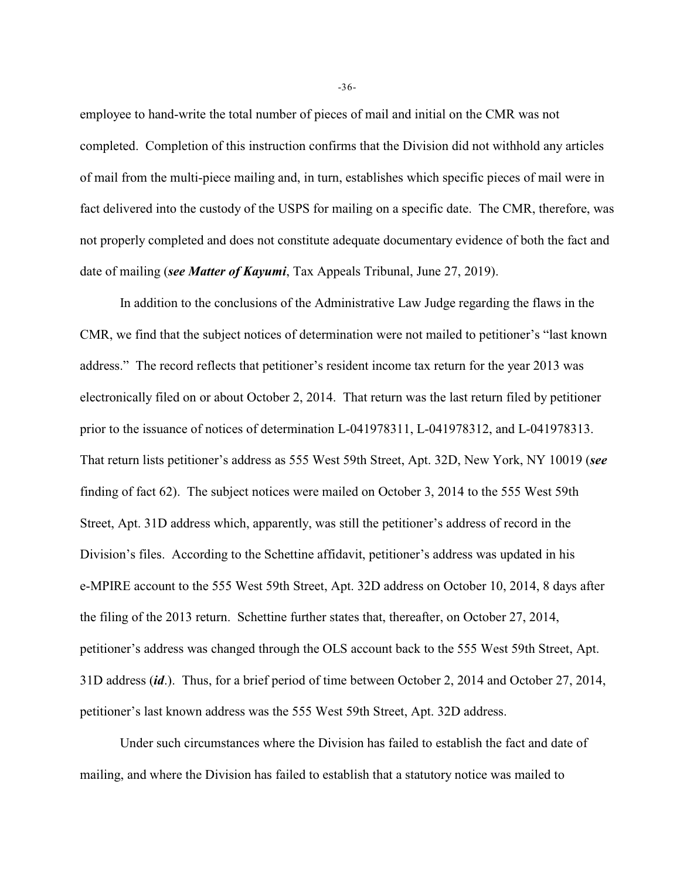employee to hand-write the total number of pieces of mail and initial on the CMR was not completed. Completion of this instruction confirms that the Division did not withhold any articles of mail from the multi-piece mailing and, in turn, establishes which specific pieces of mail were in fact delivered into the custody of the USPS for mailing on a specific date. The CMR, therefore, was not properly completed and does not constitute adequate documentary evidence of both the fact and date of mailing (*see Matter of Kayumi*, Tax Appeals Tribunal, June 27, 2019).

In addition to the conclusions of the Administrative Law Judge regarding the flaws in the CMR, we find that the subject notices of determination were not mailed to petitioner's "last known address." The record reflects that petitioner's resident income tax return for the year 2013 was electronically filed on or about October 2, 2014. That return was the last return filed by petitioner prior to the issuance of notices of determination L-041978311, L-041978312, and L-041978313. That return lists petitioner's address as 555 West 59th Street, Apt. 32D, New York, NY 10019 (*see* finding of fact 62). The subject notices were mailed on October 3, 2014 to the 555 West 59th Street, Apt. 31D address which, apparently, was still the petitioner's address of record in the Division's files. According to the Schettine affidavit, petitioner's address was updated in his e-MPIRE account to the 555 West 59th Street, Apt. 32D address on October 10, 2014, 8 days after the filing of the 2013 return. Schettine further states that, thereafter, on October 27, 2014, petitioner's address was changed through the OLS account back to the 555 West 59th Street, Apt. 31D address (*id*.). Thus, for a brief period of time between October 2, 2014 and October 27, 2014, petitioner's last known address was the 555 West 59th Street, Apt. 32D address.

Under such circumstances where the Division has failed to establish the fact and date of mailing, and where the Division has failed to establish that a statutory notice was mailed to

-36-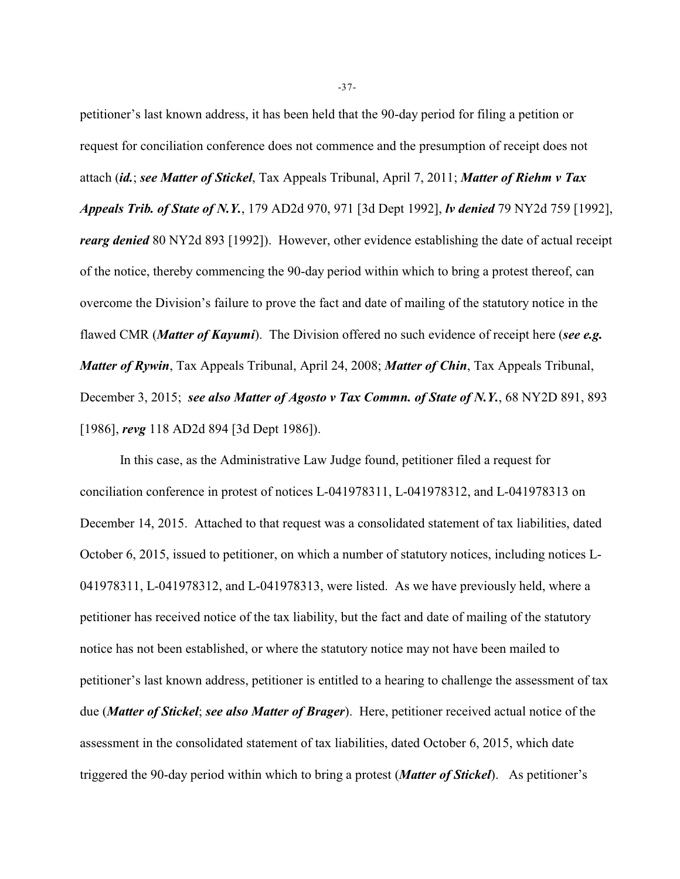petitioner's last known address, it has been held that the 90-day period for filing a petition or request for conciliation conference does not commence and the presumption of receipt does not attach (*id.*; *see Matter of Stickel*, Tax Appeals Tribunal, April 7, 2011; *Matter of Riehm v Tax Appeals Trib. of State of N.Y.*, 179 AD2d 970, 971 [3d Dept 1992], *lv denied* 79 NY2d 759 [1992], *rearg denied* 80 NY2d 893 [1992]). However, other evidence establishing the date of actual receipt of the notice, thereby commencing the 90-day period within which to bring a protest thereof, can overcome the Division's failure to prove the fact and date of mailing of the statutory notice in the flawed CMR (*Matter of Kayumi*). The Division offered no such evidence of receipt here (*see e.g. Matter of Rywin*, Tax Appeals Tribunal, April 24, 2008; *Matter of Chin*, Tax Appeals Tribunal, December 3, 2015; *see also Matter of Agosto v Tax Commn. of State of N.Y.*, 68 NY2D 891, 893 [1986], *revg* 118 AD2d 894 [3d Dept 1986]).

In this case, as the Administrative Law Judge found, petitioner filed a request for conciliation conference in protest of notices L-041978311, L-041978312, and L-041978313 on December 14, 2015. Attached to that request was a consolidated statement of tax liabilities, dated October 6, 2015, issued to petitioner, on which a number of statutory notices, including notices L-041978311, L-041978312, and L-041978313, were listed. As we have previously held, where a petitioner has received notice of the tax liability, but the fact and date of mailing of the statutory notice has not been established, or where the statutory notice may not have been mailed to petitioner's last known address, petitioner is entitled to a hearing to challenge the assessment of tax due (*Matter of Stickel*; *see also Matter of Brager*). Here, petitioner received actual notice of the assessment in the consolidated statement of tax liabilities, dated October 6, 2015, which date triggered the 90-day period within which to bring a protest (*Matter of Stickel*). As petitioner's

-37-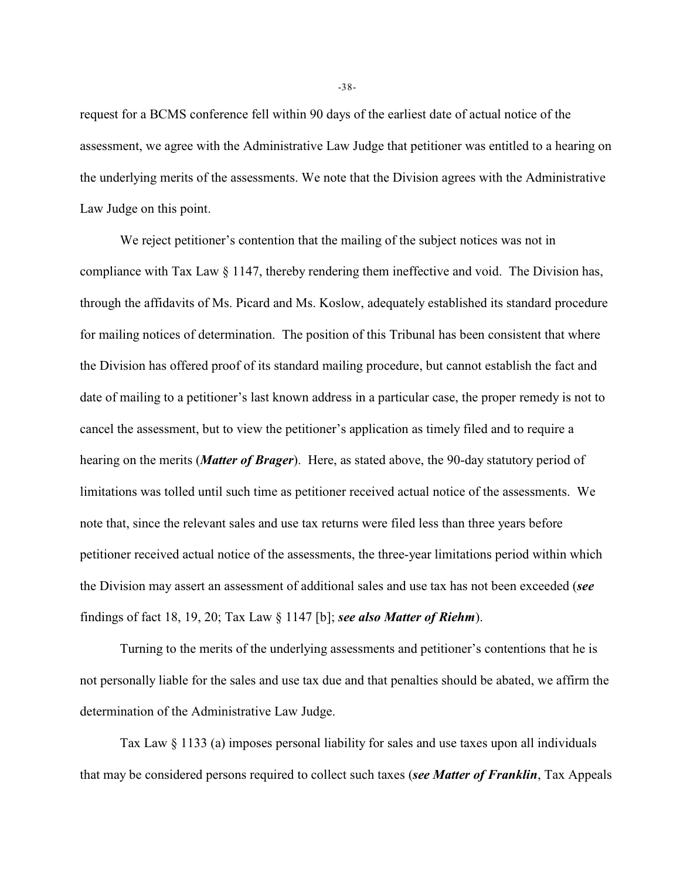request for a BCMS conference fell within 90 days of the earliest date of actual notice of the assessment, we agree with the Administrative Law Judge that petitioner was entitled to a hearing on the underlying merits of the assessments. We note that the Division agrees with the Administrative Law Judge on this point.

We reject petitioner's contention that the mailing of the subject notices was not in compliance with Tax Law  $\S 1147$ , thereby rendering them ineffective and void. The Division has, through the affidavits of Ms. Picard and Ms. Koslow, adequately established its standard procedure for mailing notices of determination. The position of this Tribunal has been consistent that where the Division has offered proof of its standard mailing procedure, but cannot establish the fact and date of mailing to a petitioner's last known address in a particular case, the proper remedy is not to cancel the assessment, but to view the petitioner's application as timely filed and to require a hearing on the merits (*Matter of Brager*). Here, as stated above, the 90-day statutory period of limitations was tolled until such time as petitioner received actual notice of the assessments. We note that, since the relevant sales and use tax returns were filed less than three years before petitioner received actual notice of the assessments, the three-year limitations period within which the Division may assert an assessment of additional sales and use tax has not been exceeded (*see* findings of fact 18, 19, 20; Tax Law § 1147 [b]; *see also Matter of Riehm*).

Turning to the merits of the underlying assessments and petitioner's contentions that he is not personally liable for the sales and use tax due and that penalties should be abated, we affirm the determination of the Administrative Law Judge.

Tax Law § 1133 (a) imposes personal liability for sales and use taxes upon all individuals that may be considered persons required to collect such taxes (*see Matter of Franklin*, Tax Appeals

-38-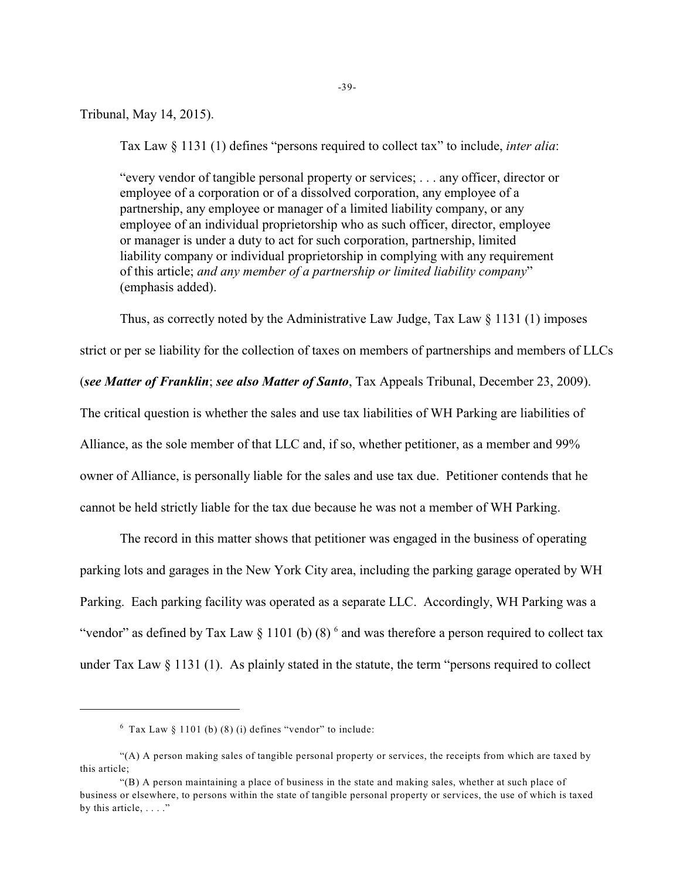-39-

Tribunal, May 14, 2015).

Tax Law § 1131 (1) defines "persons required to collect tax" to include, *inter alia*:

"every vendor of tangible personal property or services; . . . any officer, director or employee of a corporation or of a dissolved corporation, any employee of a partnership, any employee or manager of a limited liability company, or any employee of an individual proprietorship who as such officer, director, employee or manager is under a duty to act for such corporation, partnership, limited liability company or individual proprietorship in complying with any requirement of this article; *and any member of a partnership or limited liability company*" (emphasis added).

Thus, as correctly noted by the Administrative Law Judge, Tax Law  $\S$  1131 (1) imposes

strict or per se liability for the collection of taxes on members of partnerships and members of LLCs

(*see Matter of Franklin*; *see also Matter of Santo*, Tax Appeals Tribunal, December 23, 2009).

The critical question is whether the sales and use tax liabilities of WH Parking are liabilities of Alliance, as the sole member of that LLC and, if so, whether petitioner, as a member and 99% owner of Alliance, is personally liable for the sales and use tax due. Petitioner contends that he cannot be held strictly liable for the tax due because he was not a member of WH Parking.

The record in this matter shows that petitioner was engaged in the business of operating parking lots and garages in the New York City area, including the parking garage operated by WH Parking. Each parking facility was operated as a separate LLC. Accordingly, WH Parking was a "vendor" as defined by Tax Law  $\S 1101$  (b) (8)  $\delta$  and was therefore a person required to collect tax under Tax Law § 1131 (1). As plainly stated in the statute, the term "persons required to collect

 $6$  Tax Law  $8$  1101 (b) (8) (i) defines "vendor" to include:

<sup>&</sup>quot;(A) A person making sales of tangible personal property or services, the receipts from which are taxed by this article;

<sup>&</sup>quot;(B) A person maintaining a place of business in the state and making sales, whether at such place of business or elsewhere, to persons within the state of tangible personal property or services, the use of which is taxed by this article,  $\dots$ ."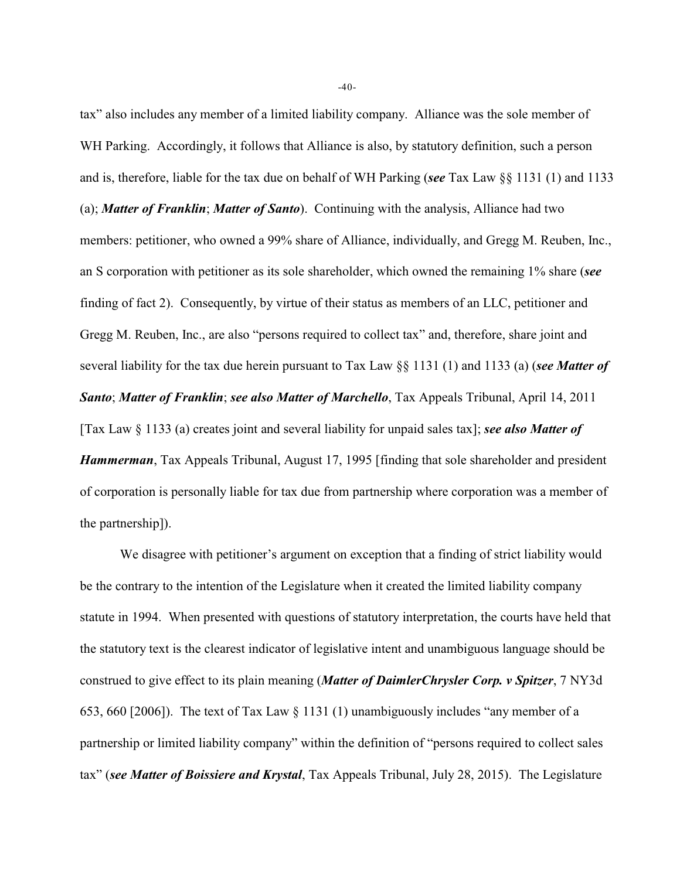tax" also includes any member of a limited liability company. Alliance was the sole member of WH Parking. Accordingly, it follows that Alliance is also, by statutory definition, such a person and is, therefore, liable for the tax due on behalf of WH Parking (*see* Tax Law §§ 1131 (1) and 1133 (a); *Matter of Franklin*; *Matter of Santo*). Continuing with the analysis, Alliance had two members: petitioner, who owned a 99% share of Alliance, individually, and Gregg M. Reuben, Inc., an S corporation with petitioner as its sole shareholder, which owned the remaining 1% share (*see* finding of fact 2). Consequently, by virtue of their status as members of an LLC, petitioner and Gregg M. Reuben, Inc., are also "persons required to collect tax" and, therefore, share joint and several liability for the tax due herein pursuant to Tax Law §§ 1131 (1) and 1133 (a) (*see Matter of Santo*; *Matter of Franklin*; *see also Matter of Marchello*, Tax Appeals Tribunal, April 14, 2011 [Tax Law § 1133 (a) creates joint and several liability for unpaid sales tax]; *see also Matter of Hammerman*, Tax Appeals Tribunal, August 17, 1995 [finding that sole shareholder and president of corporation is personally liable for tax due from partnership where corporation was a member of the partnership]).

We disagree with petitioner's argument on exception that a finding of strict liability would be the contrary to the intention of the Legislature when it created the limited liability company statute in 1994. When presented with questions of statutory interpretation, the courts have held that the statutory text is the clearest indicator of legislative intent and unambiguous language should be construed to give effect to its plain meaning (*Matter of DaimlerChrysler Corp. v Spitzer*, 7 NY3d 653, 660 [2006]). The text of Tax Law § 1131 (1) unambiguously includes "any member of a partnership or limited liability company" within the definition of "persons required to collect sales tax" (*see Matter of Boissiere and Krystal*, Tax Appeals Tribunal, July 28, 2015). The Legislature

-40-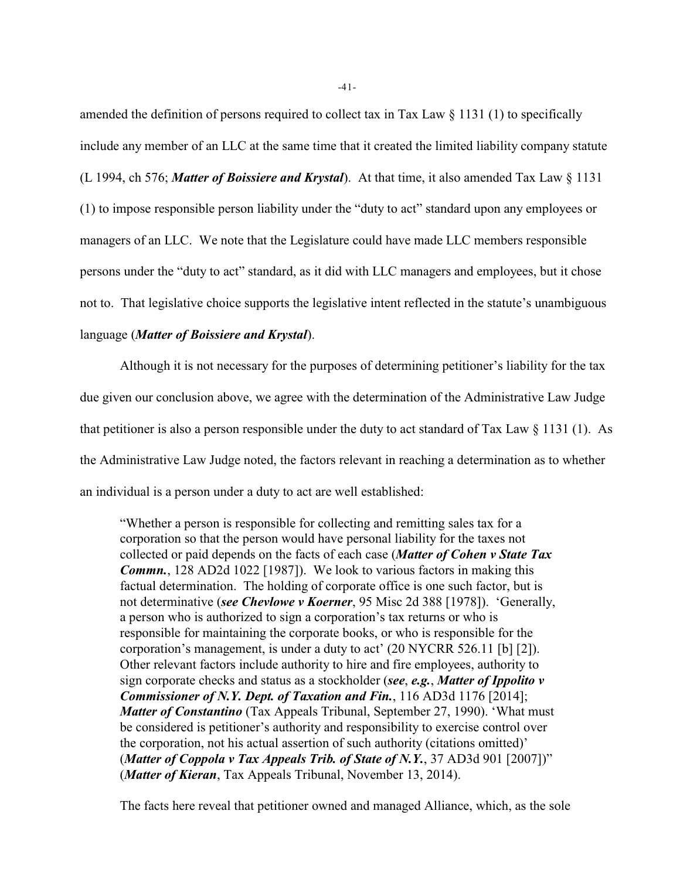amended the definition of persons required to collect tax in Tax Law  $\S$  1131 (1) to specifically include any member of an LLC at the same time that it created the limited liability company statute (L 1994, ch 576; *Matter of Boissiere and Krystal*). At that time, it also amended Tax Law § 1131 (1) to impose responsible person liability under the "duty to act" standard upon any employees or managers of an LLC. We note that the Legislature could have made LLC members responsible persons under the "duty to act" standard, as it did with LLC managers and employees, but it chose not to. That legislative choice supports the legislative intent reflected in the statute's unambiguous language (*Matter of Boissiere and Krystal*).

Although it is not necessary for the purposes of determining petitioner's liability for the tax due given our conclusion above, we agree with the determination of the Administrative Law Judge that petitioner is also a person responsible under the duty to act standard of Tax Law  $\S$  1131 (1). As the Administrative Law Judge noted, the factors relevant in reaching a determination as to whether an individual is a person under a duty to act are well established:

"Whether a person is responsible for collecting and remitting sales tax for a corporation so that the person would have personal liability for the taxes not collected or paid depends on the facts of each case (*Matter of Cohen v State Tax Commn.*, 128 AD2d 1022 [1987]). We look to various factors in making this factual determination. The holding of corporate office is one such factor, but is not determinative (*see Chevlowe v Koerner*, 95 Misc 2d 388 [1978]). 'Generally, a person who is authorized to sign a corporation's tax returns or who is responsible for maintaining the corporate books, or who is responsible for the corporation's management, is under a duty to act' (20 NYCRR 526.11 [b] [2]). Other relevant factors include authority to hire and fire employees, authority to sign corporate checks and status as a stockholder (*see*, *e.g.*, *Matter of Ippolito v Commissioner of N.Y. Dept. of Taxation and Fin.*, 116 AD3d 1176 [2014]; *Matter of Constantino* (Tax Appeals Tribunal, September 27, 1990). 'What must be considered is petitioner's authority and responsibility to exercise control over the corporation, not his actual assertion of such authority (citations omitted)' (*Matter of Coppola v Tax Appeals Trib. of State of N.Y.*, 37 AD3d 901 [2007])" (*Matter of Kieran*, Tax Appeals Tribunal, November 13, 2014).

The facts here reveal that petitioner owned and managed Alliance, which, as the sole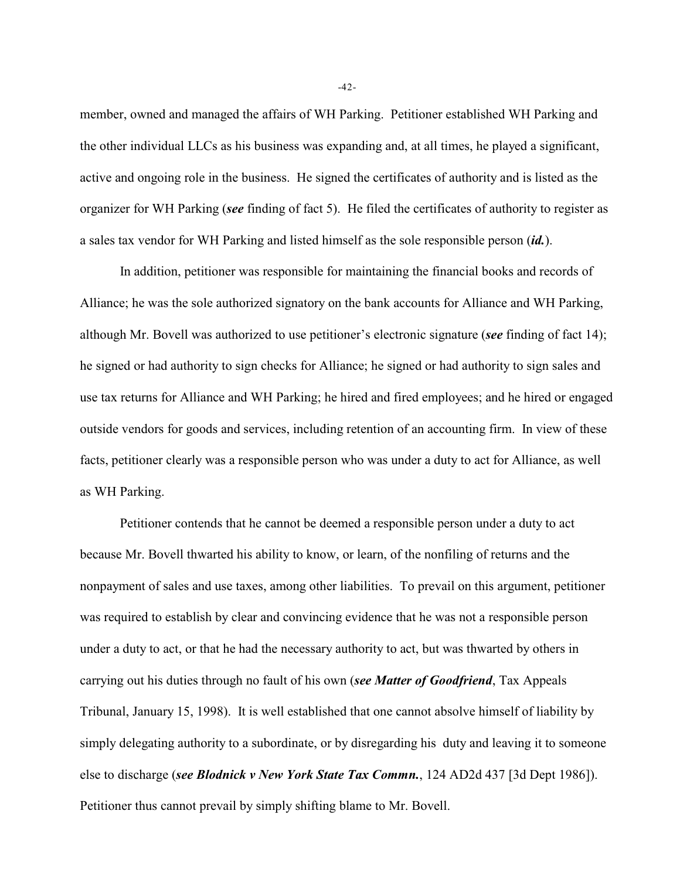member, owned and managed the affairs of WH Parking. Petitioner established WH Parking and the other individual LLCs as his business was expanding and, at all times, he played a significant, active and ongoing role in the business. He signed the certificates of authority and is listed as the organizer for WH Parking (*see* finding of fact 5). He filed the certificates of authority to register as a sales tax vendor for WH Parking and listed himself as the sole responsible person (*id.*).

In addition, petitioner was responsible for maintaining the financial books and records of Alliance; he was the sole authorized signatory on the bank accounts for Alliance and WH Parking, although Mr. Bovell was authorized to use petitioner's electronic signature (*see* finding of fact 14); he signed or had authority to sign checks for Alliance; he signed or had authority to sign sales and use tax returns for Alliance and WH Parking; he hired and fired employees; and he hired or engaged outside vendors for goods and services, including retention of an accounting firm. In view of these facts, petitioner clearly was a responsible person who was under a duty to act for Alliance, as well as WH Parking.

Petitioner contends that he cannot be deemed a responsible person under a duty to act because Mr. Bovell thwarted his ability to know, or learn, of the nonfiling of returns and the nonpayment of sales and use taxes, among other liabilities. To prevail on this argument, petitioner was required to establish by clear and convincing evidence that he was not a responsible person under a duty to act, or that he had the necessary authority to act, but was thwarted by others in carrying out his duties through no fault of his own (*see Matter of Goodfriend*, Tax Appeals Tribunal, January 15, 1998). It is well established that one cannot absolve himself of liability by simply delegating authority to a subordinate, or by disregarding his duty and leaving it to someone else to discharge (*see Blodnick v New York State Tax Commn.*, 124 AD2d 437 [3d Dept 1986]). Petitioner thus cannot prevail by simply shifting blame to Mr. Bovell.

-42-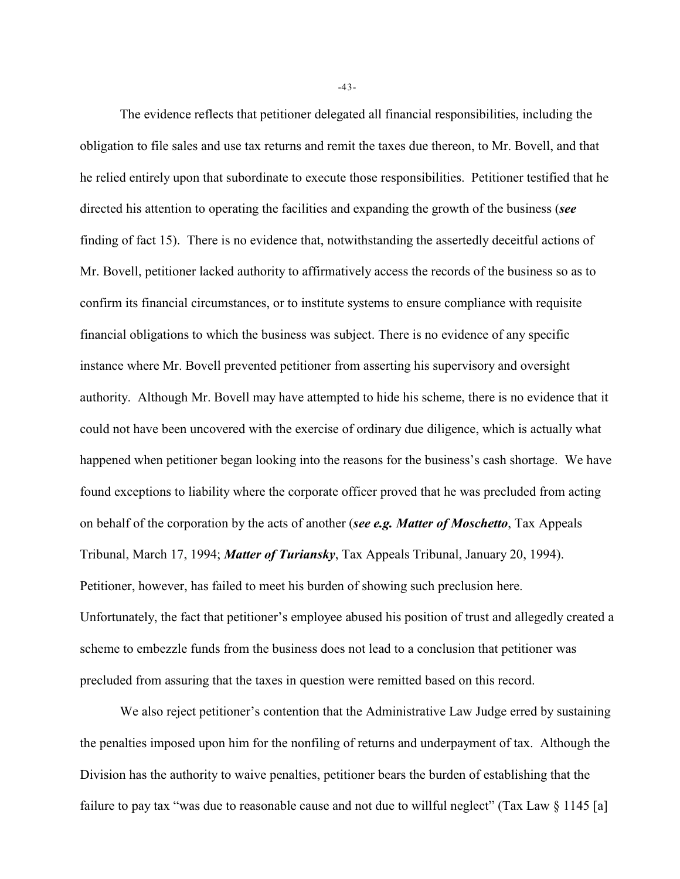The evidence reflects that petitioner delegated all financial responsibilities, including the obligation to file sales and use tax returns and remit the taxes due thereon, to Mr. Bovell, and that he relied entirely upon that subordinate to execute those responsibilities. Petitioner testified that he directed his attention to operating the facilities and expanding the growth of the business (*see* finding of fact 15). There is no evidence that, notwithstanding the assertedly deceitful actions of Mr. Bovell, petitioner lacked authority to affirmatively access the records of the business so as to confirm its financial circumstances, or to institute systems to ensure compliance with requisite financial obligations to which the business was subject. There is no evidence of any specific instance where Mr. Bovell prevented petitioner from asserting his supervisory and oversight authority. Although Mr. Bovell may have attempted to hide his scheme, there is no evidence that it could not have been uncovered with the exercise of ordinary due diligence, which is actually what happened when petitioner began looking into the reasons for the business's cash shortage. We have found exceptions to liability where the corporate officer proved that he was precluded from acting on behalf of the corporation by the acts of another (*see e.g. Matter of Moschetto*, Tax Appeals Tribunal, March 17, 1994; *Matter of Turiansky*, Tax Appeals Tribunal, January 20, 1994). Petitioner, however, has failed to meet his burden of showing such preclusion here. Unfortunately, the fact that petitioner's employee abused his position of trust and allegedly created a scheme to embezzle funds from the business does not lead to a conclusion that petitioner was precluded from assuring that the taxes in question were remitted based on this record.

We also reject petitioner's contention that the Administrative Law Judge erred by sustaining the penalties imposed upon him for the nonfiling of returns and underpayment of tax. Although the Division has the authority to waive penalties, petitioner bears the burden of establishing that the failure to pay tax "was due to reasonable cause and not due to willful neglect" (Tax Law § 1145 [a]

-43-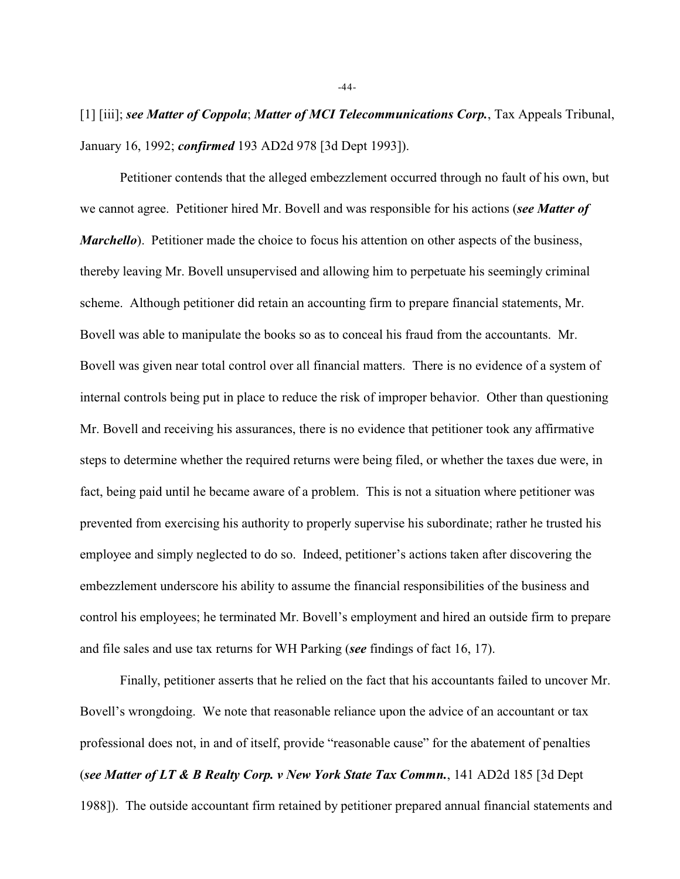[1] [iii]; *see Matter of Coppola*; *Matter of MCI Telecommunications Corp.*, Tax Appeals Tribunal, January 16, 1992; *confirmed* 193 AD2d 978 [3d Dept 1993]).

Petitioner contends that the alleged embezzlement occurred through no fault of his own, but we cannot agree. Petitioner hired Mr. Bovell and was responsible for his actions (*see Matter of Marchello*). Petitioner made the choice to focus his attention on other aspects of the business, thereby leaving Mr. Bovell unsupervised and allowing him to perpetuate his seemingly criminal scheme. Although petitioner did retain an accounting firm to prepare financial statements, Mr. Bovell was able to manipulate the books so as to conceal his fraud from the accountants. Mr. Bovell was given near total control over all financial matters. There is no evidence of a system of internal controls being put in place to reduce the risk of improper behavior. Other than questioning Mr. Bovell and receiving his assurances, there is no evidence that petitioner took any affirmative steps to determine whether the required returns were being filed, or whether the taxes due were, in fact, being paid until he became aware of a problem. This is not a situation where petitioner was prevented from exercising his authority to properly supervise his subordinate; rather he trusted his employee and simply neglected to do so. Indeed, petitioner's actions taken after discovering the embezzlement underscore his ability to assume the financial responsibilities of the business and control his employees; he terminated Mr. Bovell's employment and hired an outside firm to prepare and file sales and use tax returns for WH Parking (*see* findings of fact 16, 17).

Finally, petitioner asserts that he relied on the fact that his accountants failed to uncover Mr. Bovell's wrongdoing. We note that reasonable reliance upon the advice of an accountant or tax professional does not, in and of itself, provide "reasonable cause" for the abatement of penalties (*see Matter of LT & B Realty Corp. v New York State Tax Commn.*, 141 AD2d 185 [3d Dept 1988]). The outside accountant firm retained by petitioner prepared annual financial statements and

-44-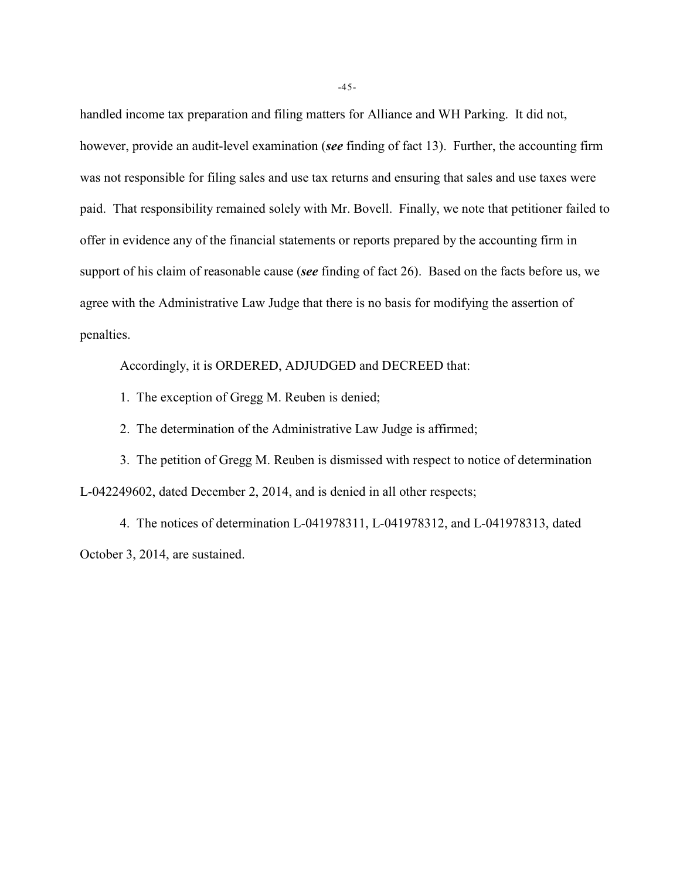handled income tax preparation and filing matters for Alliance and WH Parking. It did not, however, provide an audit-level examination (*see* finding of fact 13). Further, the accounting firm was not responsible for filing sales and use tax returns and ensuring that sales and use taxes were paid. That responsibility remained solely with Mr. Bovell. Finally, we note that petitioner failed to offer in evidence any of the financial statements or reports prepared by the accounting firm in support of his claim of reasonable cause (*see* finding of fact 26). Based on the facts before us, we agree with the Administrative Law Judge that there is no basis for modifying the assertion of penalties.

Accordingly, it is ORDERED, ADJUDGED and DECREED that:

1. The exception of Gregg M. Reuben is denied;

2. The determination of the Administrative Law Judge is affirmed;

3. The petition of Gregg M. Reuben is dismissed with respect to notice of determination L-042249602, dated December 2, 2014, and is denied in all other respects;

4. The notices of determination L-041978311, L-041978312, and L-041978313, dated October 3, 2014, are sustained.